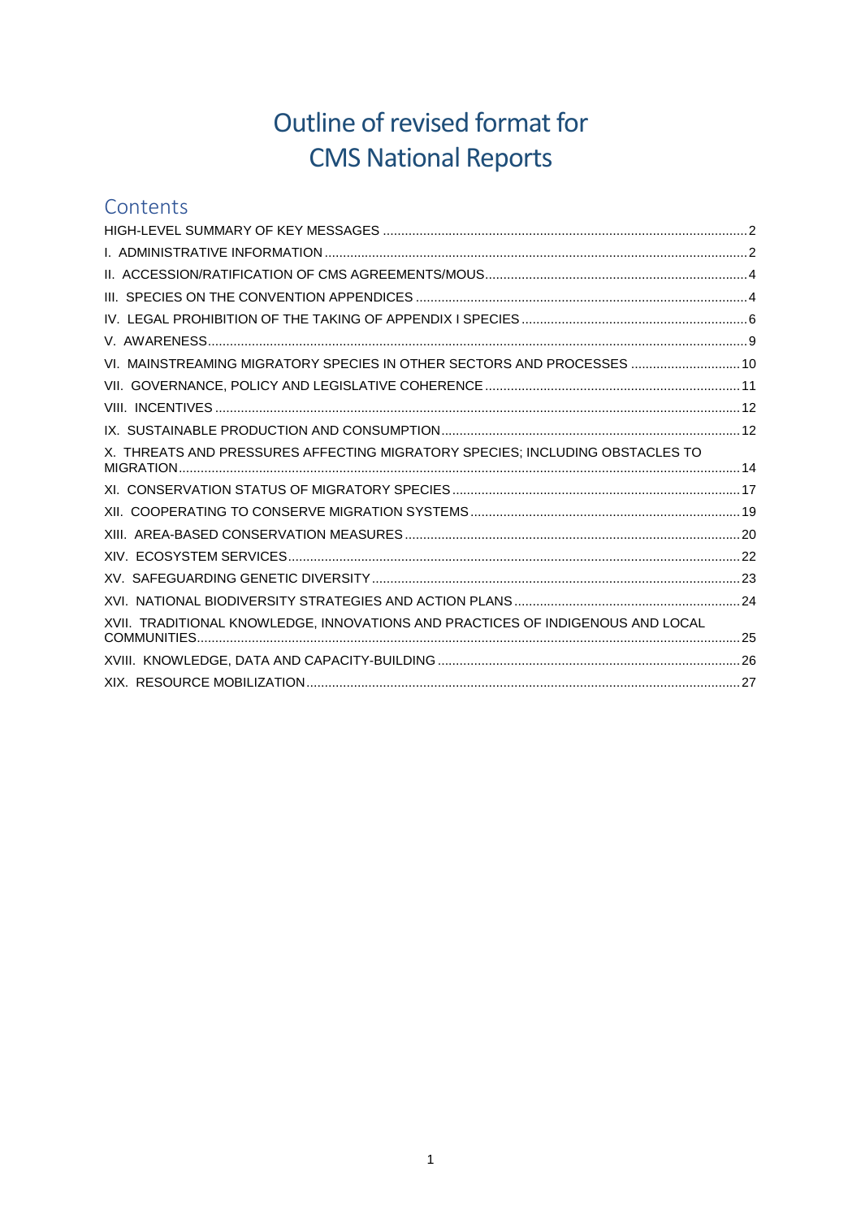# Outline of revised format for **CMS National Reports**

# Contents

| VI. MAINSTREAMING MIGRATORY SPECIES IN OTHER SECTORS AND PROCESSES  10         |  |
|--------------------------------------------------------------------------------|--|
|                                                                                |  |
|                                                                                |  |
|                                                                                |  |
| X. THREATS AND PRESSURES AFFECTING MIGRATORY SPECIES; INCLUDING OBSTACLES TO   |  |
|                                                                                |  |
|                                                                                |  |
|                                                                                |  |
|                                                                                |  |
|                                                                                |  |
|                                                                                |  |
| XVII. TRADITIONAL KNOWLEDGE, INNOVATIONS AND PRACTICES OF INDIGENOUS AND LOCAL |  |
|                                                                                |  |
|                                                                                |  |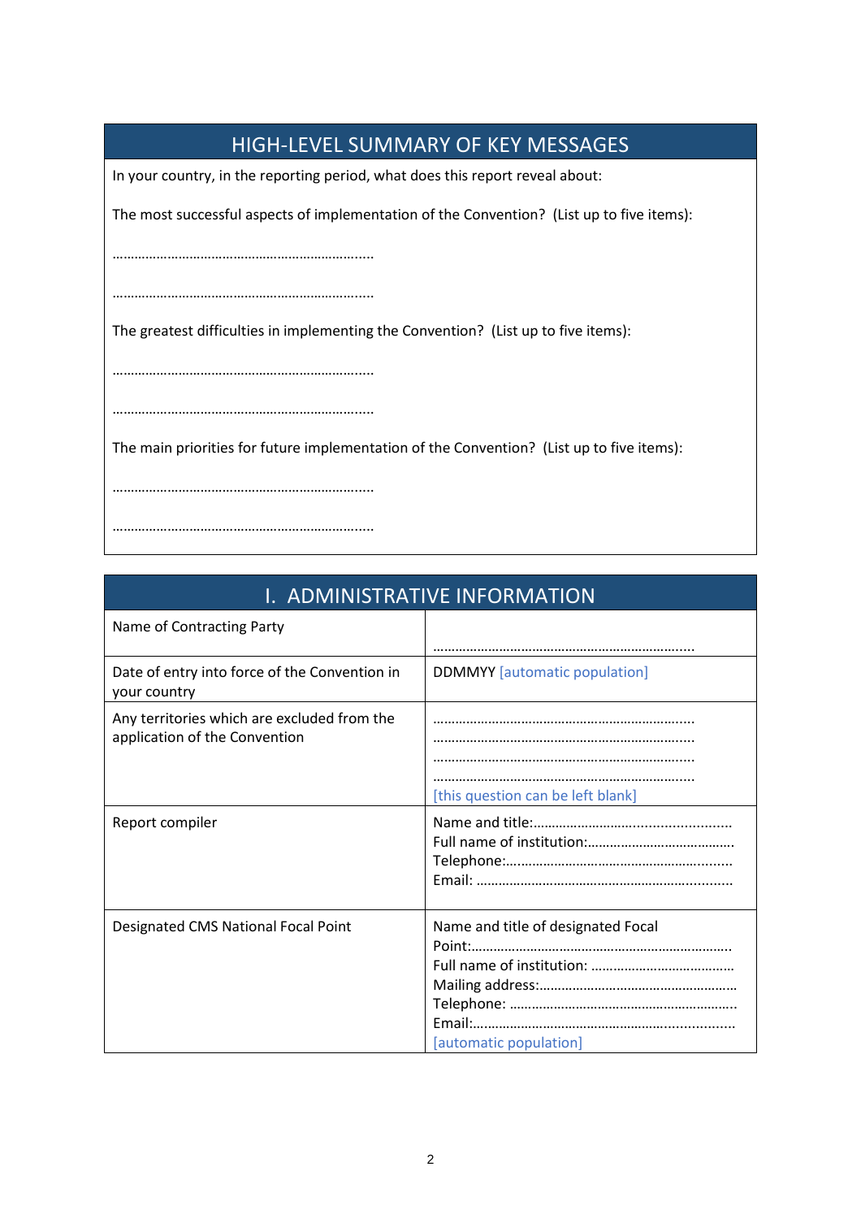<span id="page-1-0"></span>

| <b>HIGH-LEVEL SUMMARY OF KEY MESSAGES</b>                                                 |  |  |  |  |
|-------------------------------------------------------------------------------------------|--|--|--|--|
| In your country, in the reporting period, what does this report reveal about:             |  |  |  |  |
| The most successful aspects of implementation of the Convention? (List up to five items): |  |  |  |  |
|                                                                                           |  |  |  |  |
|                                                                                           |  |  |  |  |
| The greatest difficulties in implementing the Convention? (List up to five items):        |  |  |  |  |
|                                                                                           |  |  |  |  |
|                                                                                           |  |  |  |  |
| The main priorities for future implementation of the Convention? (List up to five items): |  |  |  |  |
|                                                                                           |  |  |  |  |
|                                                                                           |  |  |  |  |

<span id="page-1-1"></span>

| I. ADMINISTRATIVE INFORMATION                                                |                                                              |  |  |
|------------------------------------------------------------------------------|--------------------------------------------------------------|--|--|
| Name of Contracting Party                                                    |                                                              |  |  |
| Date of entry into force of the Convention in<br>your country                | <b>DDMMYY</b> [automatic population]                         |  |  |
| Any territories which are excluded from the<br>application of the Convention | [this question can be left blank]                            |  |  |
| Report compiler                                                              |                                                              |  |  |
| Designated CMS National Focal Point                                          | Name and title of designated Focal<br>[automatic population] |  |  |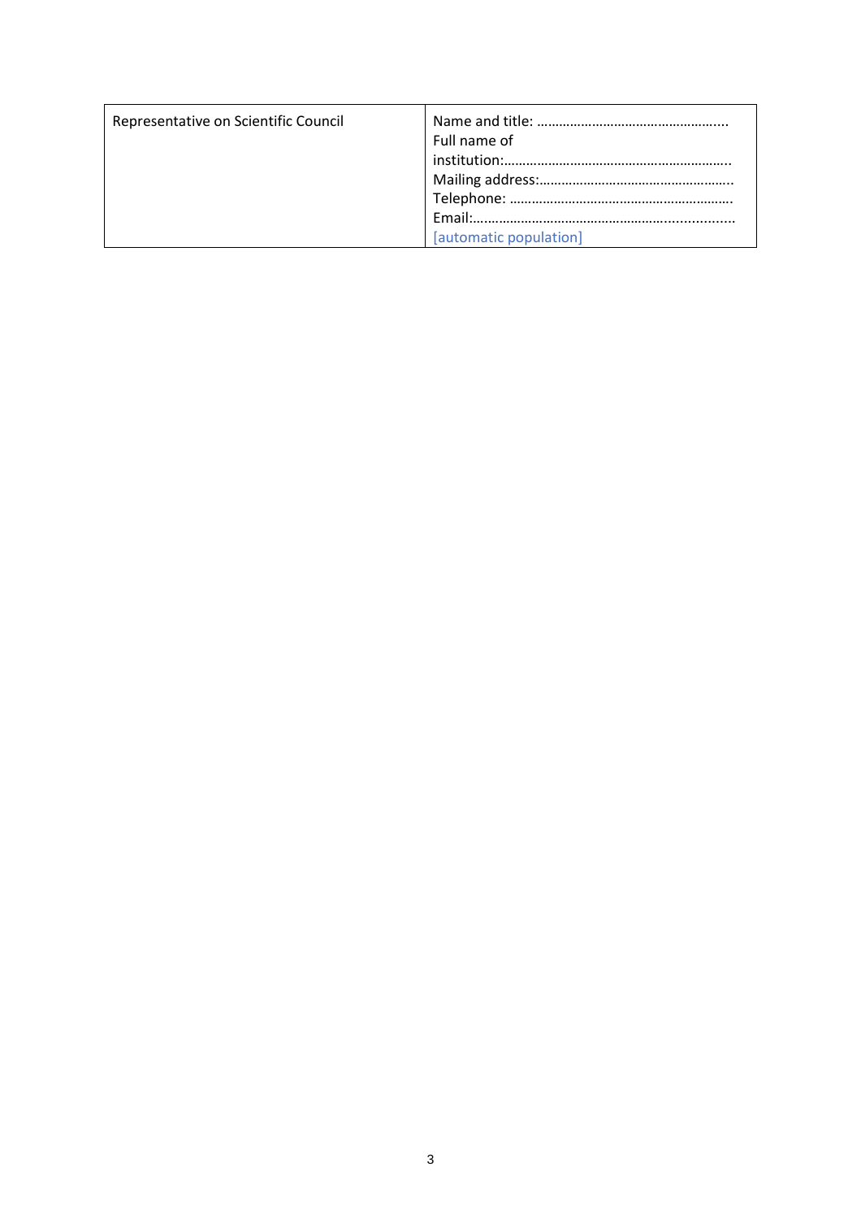| Representative on Scientific Council | Full name of<br>[automatic population] |
|--------------------------------------|----------------------------------------|
|--------------------------------------|----------------------------------------|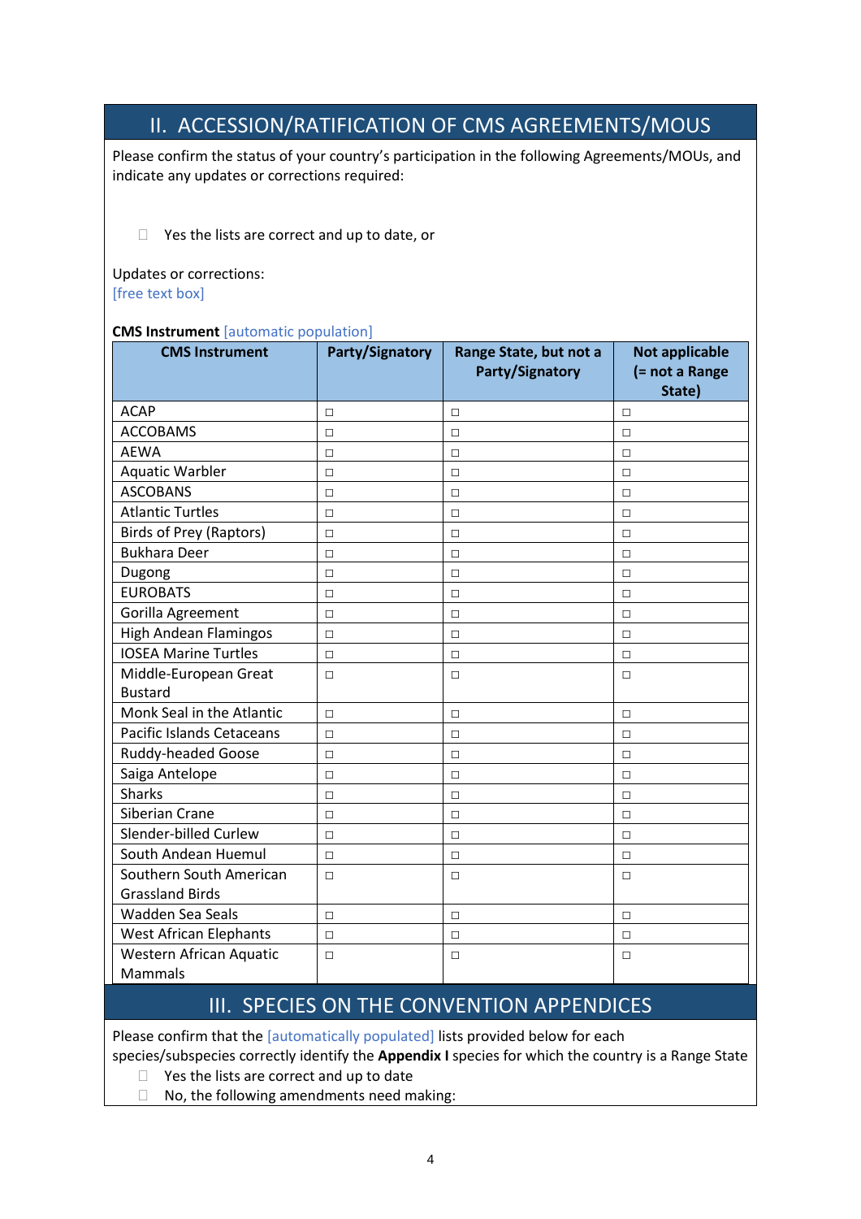### II. ACCESSION/RATIFICATION OF CMS AGREEMENTS/MOUS

<span id="page-3-0"></span>Please confirm the status of your country's participation in the following Agreements/MOUs, and indicate any updates or corrections required:

 $\Box$  Yes the lists are correct and up to date, or

Updates or corrections: [free text box]

### **CMS Instrument** [automatic population]

| <b>CMS Instrument</b>          | <b>Party/Signatory</b> | Range State, but not a | <b>Not applicable</b> |
|--------------------------------|------------------------|------------------------|-----------------------|
|                                |                        | Party/Signatory        | (= not a Range        |
|                                |                        |                        | State)                |
| <b>ACAP</b>                    | $\Box$                 | П                      | П                     |
| <b>ACCOBAMS</b>                | $\Box$                 | $\Box$                 | $\Box$                |
| <b>AEWA</b>                    | $\Box$                 | □                      | $\Box$                |
| <b>Aquatic Warbler</b>         | $\Box$                 | $\Box$                 | $\Box$                |
| <b>ASCOBANS</b>                | $\Box$                 | $\Box$                 | $\Box$                |
| <b>Atlantic Turtles</b>        | $\Box$                 | $\Box$                 | $\Box$                |
| <b>Birds of Prey (Raptors)</b> | $\Box$                 | $\Box$                 | $\Box$                |
| <b>Bukhara Deer</b>            | $\Box$                 | $\Box$                 | $\Box$                |
| Dugong                         | $\Box$                 | $\Box$                 | $\Box$                |
| <b>EUROBATS</b>                | $\Box$                 | □                      | $\Box$                |
| Gorilla Agreement              | $\Box$                 | $\Box$                 | $\Box$                |
| <b>High Andean Flamingos</b>   | $\Box$                 | $\Box$                 | $\Box$                |
| <b>IOSEA Marine Turtles</b>    | $\Box$                 | $\Box$                 | $\Box$                |
| Middle-European Great          | $\Box$                 | $\Box$                 | $\Box$                |
| <b>Bustard</b>                 |                        |                        |                       |
| Monk Seal in the Atlantic      | $\Box$                 | □                      | $\Box$                |
| Pacific Islands Cetaceans      | $\Box$                 | $\Box$                 | $\Box$                |
| Ruddy-headed Goose             | $\Box$                 | $\Box$                 | $\Box$                |
| Saiga Antelope                 | $\Box$                 | □                      | $\Box$                |
| <b>Sharks</b>                  | $\Box$                 | П                      | $\Box$                |
| Siberian Crane                 | $\Box$                 | $\Box$                 | $\Box$                |
| Slender-billed Curlew          | $\Box$                 | □                      | $\Box$                |
| South Andean Huemul            | $\Box$                 | $\Box$                 | $\Box$                |
| Southern South American        | $\Box$                 | $\Box$                 | $\Box$                |
| <b>Grassland Birds</b>         |                        |                        |                       |
| Wadden Sea Seals               | $\Box$                 | $\Box$                 | $\Box$                |
| <b>West African Elephants</b>  | $\Box$                 | $\Box$                 | $\Box$                |
| Western African Aquatic        | $\Box$                 | □                      | $\Box$                |
| Mammals                        |                        |                        |                       |

### III. SPECIES ON THE CONVENTION APPENDICES

<span id="page-3-1"></span>Please confirm that the [automatically populated] lists provided below for each

species/subspecies correctly identify the **Appendix I** species for which the country is a Range State

- $\Box$  Yes the lists are correct and up to date
- $\Box$  No, the following amendments need making: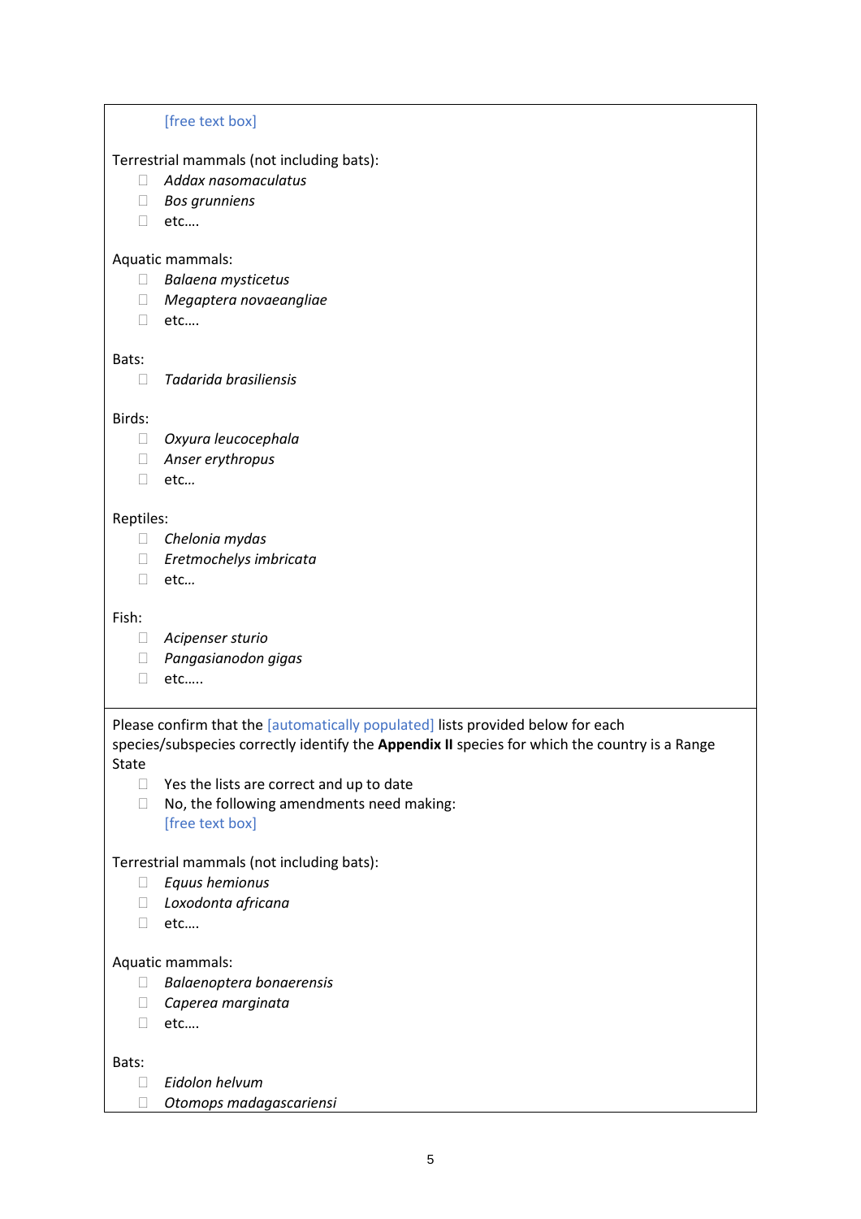#### [free text box]

Terrestrial mammals (not including bats):

- *Addax nasomaculatus*
- *Bos grunniens*
- □ etc....

#### Aquatic mammals:

- *Balaena mysticetus*
- *Megaptera novaeangliae*
- □ etc....

#### Bats:

*Tadarida brasiliensis*

#### Birds:

- *Oxyura leucocephala*
- *Anser erythropus*
- etc*…*

### Reptiles:

- *Chelonia mydas*
- *Eretmochelys imbricata*
- etc*…*

#### Fish:

- *Acipenser sturio*
- *Pangasianodon gigas*
- etc…..

### Please confirm that the [automatically populated] lists provided below for each species/subspecies correctly identify the **Appendix II** species for which the country is a Range State

- $\Box$  Yes the lists are correct and up to date
- $\Box$  No, the following amendments need making: [free text box]

### Terrestrial mammals (not including bats):

- *Equus hemionus*
- *Loxodonta africana*
- □ etc....

### Aquatic mammals:

- *Balaenoptera bonaerensis*
- *Caperea marginata*
- etc….

### Bats:

- *Eidolon helvum*
- *Otomops madagascariensi*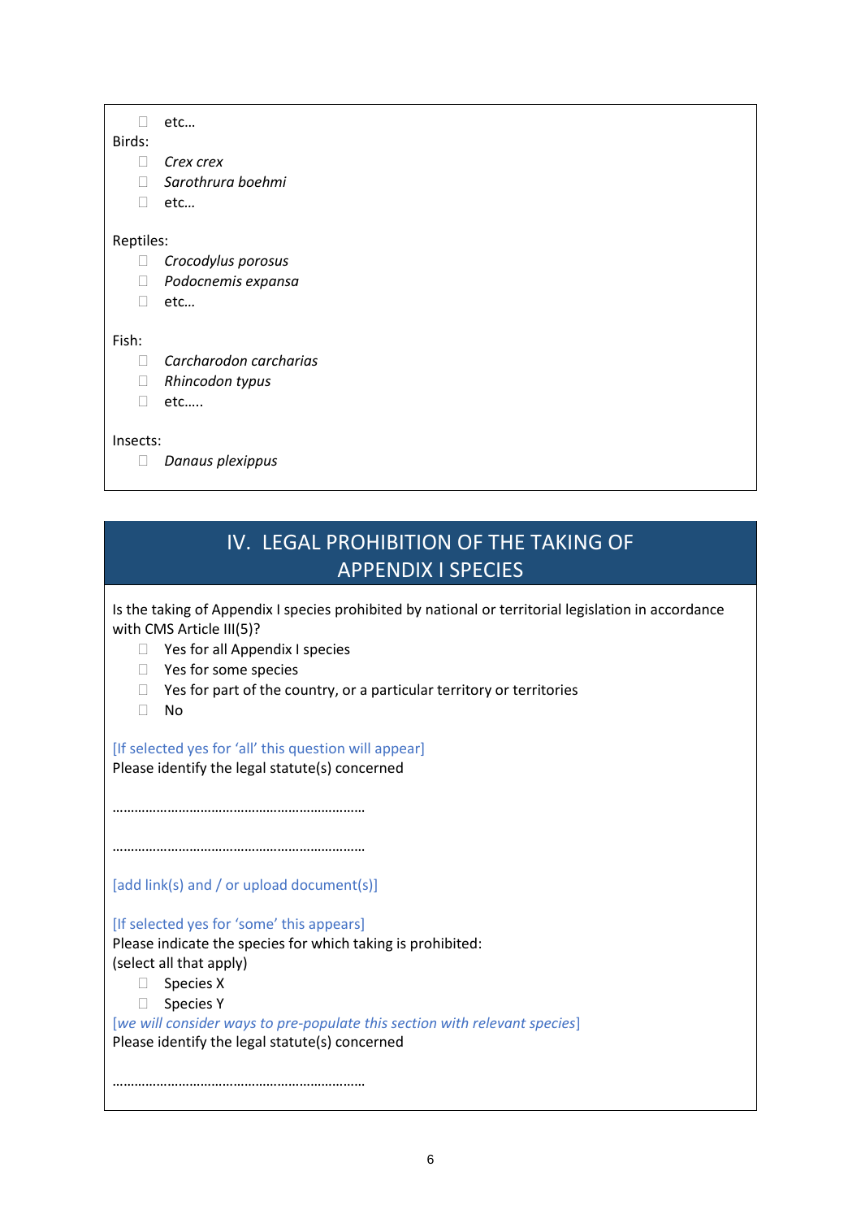□ etc...

- Birds:
	- *Crex crex*
	- *Sarothrura boehmi*
	- etc*…*

#### Reptiles:

- *Crocodylus porosus*
- *Podocnemis expansa*
- etc*…*

### Fish:

- *Carcharodon carcharias*
- *Rhincodon typus*
- □ etc.....

Insects:

*Danaus plexippus*

# IV. LEGAL PROHIBITION OF THE TAKING OF APPENDIX I SPECIES

<span id="page-5-0"></span>Is the taking of Appendix I species prohibited by national or territorial legislation in accordance with CMS Article III(5)?

- □ Yes for all Appendix I species
- □ Yes for some species
- $\Box$  Yes for part of the country, or a particular territory or territories
- No

### [If selected yes for 'all' this question will appear]

Please identify the legal statute(s) concerned

……………………………………………………………

……………………………………………………………

[add link(s) and / or upload document(s)]

[If selected yes for 'some' this appears]

Please indicate the species for which taking is prohibited: (select all that apply)

- □ Species X
- □ Species Y

[*we will consider ways to pre-populate this section with relevant species*] Please identify the legal statute(s) concerned

……………………………………………………………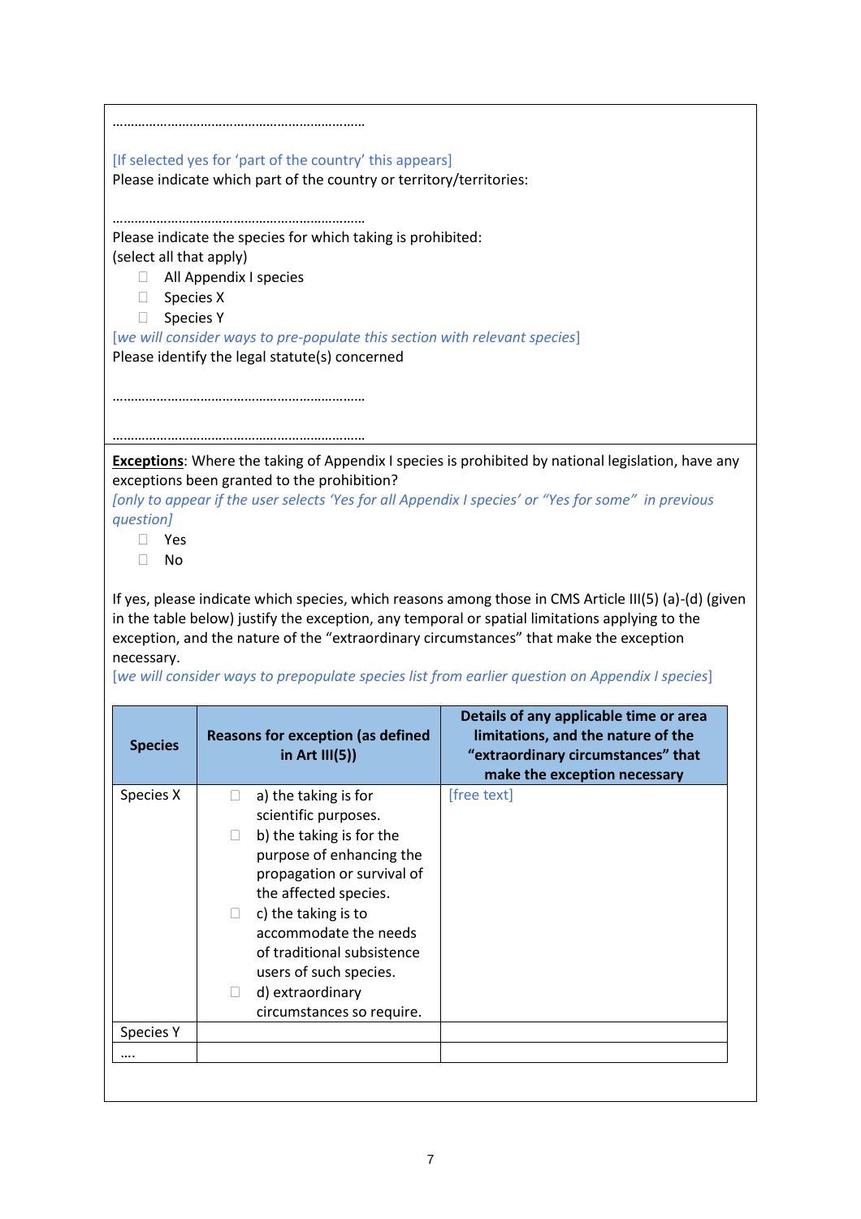|                         | [If selected yes for 'part of the country' this appears]                               |                                                                                                           |
|-------------------------|----------------------------------------------------------------------------------------|-----------------------------------------------------------------------------------------------------------|
|                         | Please indicate which part of the country or territory/territories:                    |                                                                                                           |
|                         |                                                                                        |                                                                                                           |
|                         |                                                                                        |                                                                                                           |
| (select all that apply) | Please indicate the species for which taking is prohibited:                            |                                                                                                           |
| $\Box$                  | All Appendix I species                                                                 |                                                                                                           |
| Species X<br>u          |                                                                                        |                                                                                                           |
| <b>Species Y</b><br>П.  |                                                                                        |                                                                                                           |
|                         | [we will consider ways to pre-populate this section with relevant species]             |                                                                                                           |
|                         | Please identify the legal statute(s) concerned                                         |                                                                                                           |
|                         |                                                                                        |                                                                                                           |
|                         |                                                                                        |                                                                                                           |
|                         |                                                                                        |                                                                                                           |
|                         |                                                                                        | <b>Exceptions:</b> Where the taking of Appendix I species is prohibited by national legislation, have any |
|                         | exceptions been granted to the prohibition?                                            |                                                                                                           |
|                         |                                                                                        | [only to appear if the user selects 'Yes for all Appendix I species' or "Yes for some" in previous        |
| question]               |                                                                                        |                                                                                                           |
| Yes                     |                                                                                        |                                                                                                           |
| No<br>Ш                 |                                                                                        |                                                                                                           |
|                         |                                                                                        | If yes, please indicate which species, which reasons among those in CMS Article III(5) (a)-(d) (given     |
|                         |                                                                                        | in the table below) justify the exception, any temporal or spatial limitations applying to the            |
|                         | exception, and the nature of the "extraordinary circumstances" that make the exception |                                                                                                           |
| necessary.              |                                                                                        |                                                                                                           |
|                         |                                                                                        | [we will consider ways to prepopulate species list from earlier question on Appendix I species]           |
|                         |                                                                                        | Details of any applicable time or area                                                                    |
| <b>Species</b>          | <b>Reasons for exception (as defined</b>                                               | limitations, and the nature of the                                                                        |
|                         | in Art $III(5)$ )                                                                      | "extraordinary circumstances" that                                                                        |
|                         |                                                                                        | make the exception necessary                                                                              |
| Species X               | a) the taking is for<br>$\Box$<br>scientific purposes.                                 | [free text]                                                                                               |
|                         | b) the taking is for the                                                               |                                                                                                           |
|                         | purpose of enhancing the                                                               |                                                                                                           |
|                         | propagation or survival of                                                             |                                                                                                           |
|                         | the affected species.                                                                  |                                                                                                           |
|                         | c) the taking is to<br>П                                                               |                                                                                                           |
|                         | accommodate the needs                                                                  |                                                                                                           |
|                         | of traditional subsistence                                                             |                                                                                                           |
|                         |                                                                                        |                                                                                                           |
|                         |                                                                                        |                                                                                                           |
|                         | users of such species.<br>d) extraordinary<br>O                                        |                                                                                                           |
|                         | circumstances so require.                                                              |                                                                                                           |
| <b>Species Y</b>        |                                                                                        |                                                                                                           |
|                         |                                                                                        |                                                                                                           |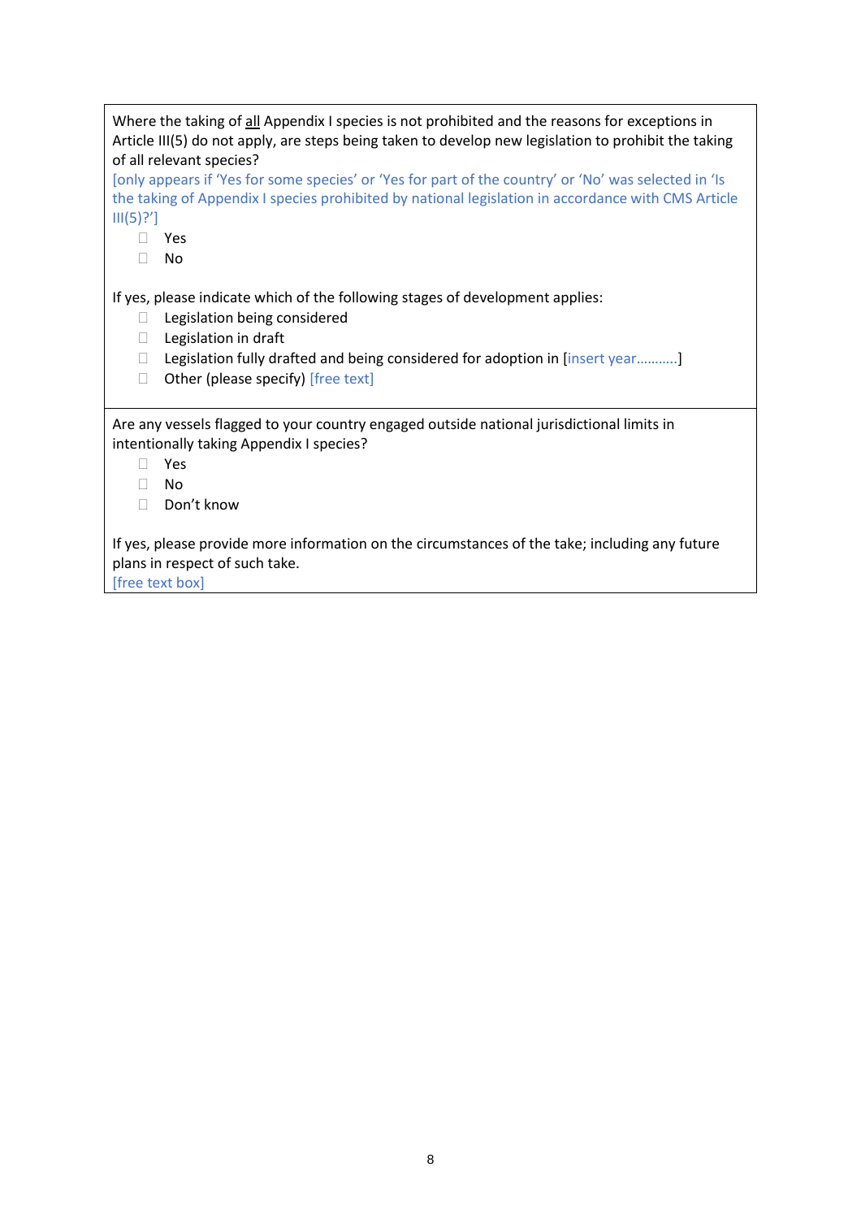Where the taking of all Appendix I species is not prohibited and the reasons for exceptions in Article III(5) do not apply, are steps being taken to develop new legislation to prohibit the taking of all relevant species?

[only appears if 'Yes for some species' or 'Yes for part of the country' or 'No' was selected in 'Is the taking of Appendix I species prohibited by national legislation in accordance with CMS Article  $III(5)?']$ 

- Yes
- No

If yes, please indicate which of the following stages of development applies:

- □ Legislation being considered
- □ Legislation in draft
- □ Legislation fully drafted and being considered for adoption in [insert year...........]
- $\Box$  Other (please specify) [free text]

Are any vessels flagged to your country engaged outside national jurisdictional limits in intentionally taking Appendix I species?

- Yes
- No
- Don't know

If yes, please provide more information on the circumstances of the take; including any future plans in respect of such take.

[free text box]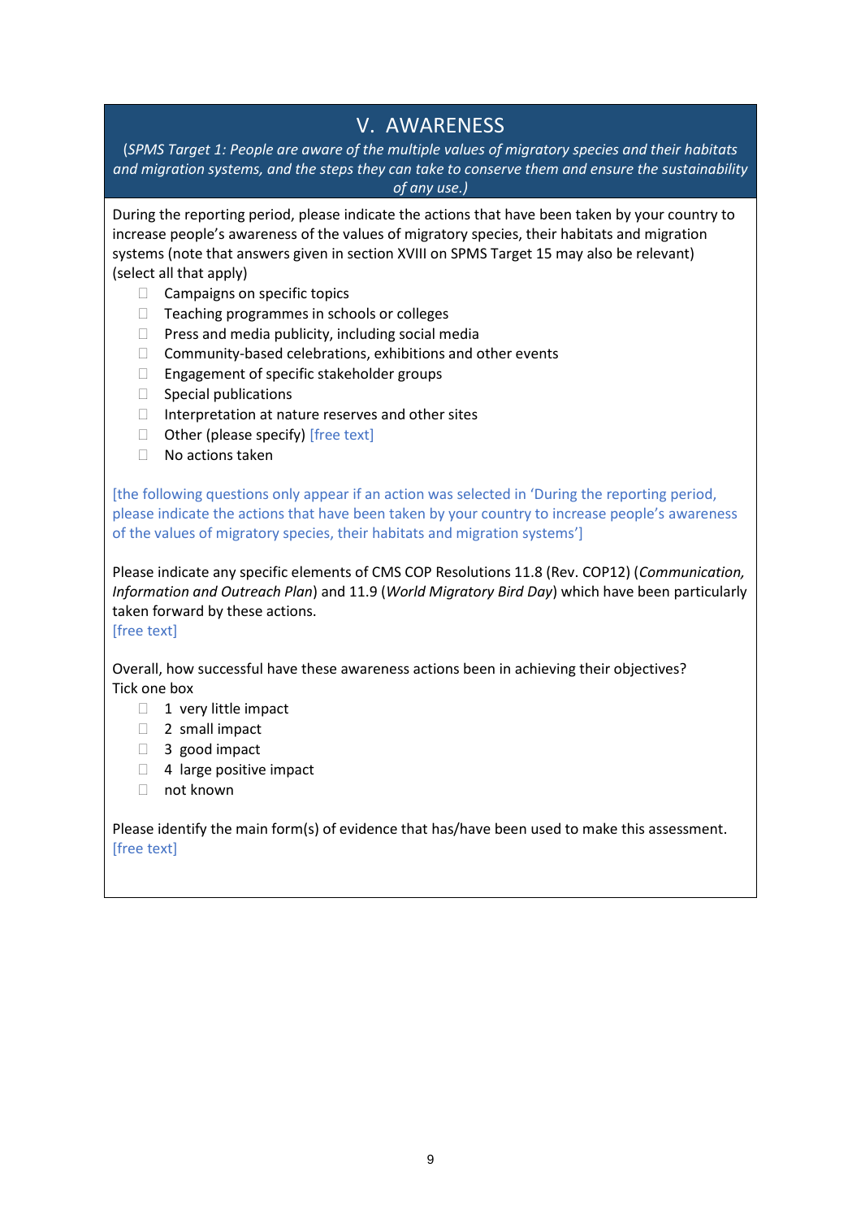### V. AWARENESS

<span id="page-8-0"></span>(*SPMS Target 1: People are aware of the multiple values of migratory species and their habitats and migration systems, and the steps they can take to conserve them and ensure the sustainability of any use.)*

During the reporting period, please indicate the actions that have been taken by your country to increase people's awareness of the values of migratory species, their habitats and migration systems (note that answers given in section XVIII on SPMS Target 15 may also be relevant) (select all that apply)

- □ Campaigns on specific topics
- $\Box$  Teaching programmes in schools or colleges
- $\Box$  Press and media publicity, including social media
- $\Box$  Community-based celebrations, exhibitions and other events
- $\Box$  Engagement of specific stakeholder groups
- $\Box$  Special publications
- $\Box$  Interpretation at nature reserves and other sites
- $\Box$  Other (please specify) [free text]
- $\Box$  No actions taken

[the following questions only appear if an action was selected in 'During the reporting period, please indicate the actions that have been taken by your country to increase people's awareness of the values of migratory species, their habitats and migration systems']

Please indicate any specific elements of CMS COP Resolutions 11.8 (Rev. COP12) (*Communication, Information and Outreach Plan*) and 11.9 (*World Migratory Bird Day*) which have been particularly taken forward by these actions.

[free text]

Overall, how successful have these awareness actions been in achieving their objectives? Tick one box

- $\Box$  1 very little impact
- □ 2 small impact
- □ 3 good impact
- $\Box$  4 large positive impact
- □ not known

Please identify the main form(s) of evidence that has/have been used to make this assessment. [free text]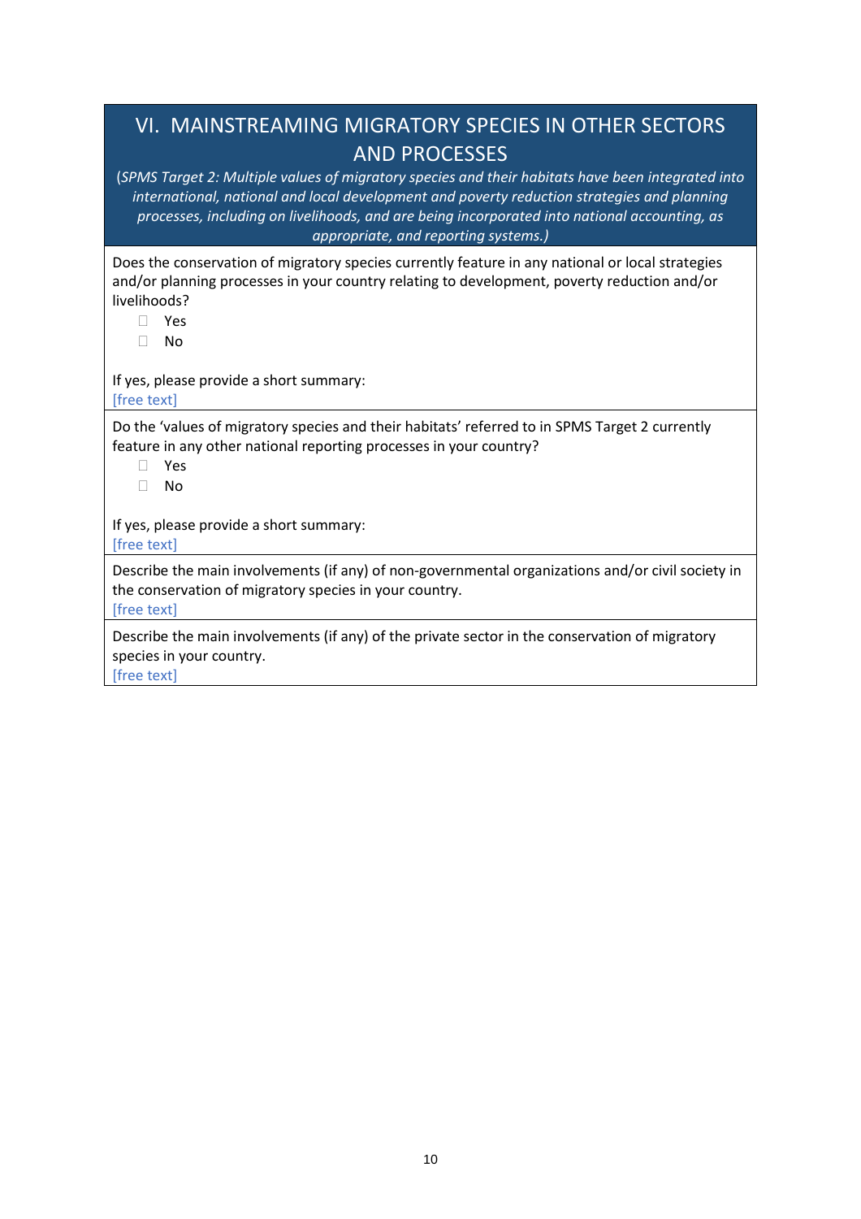# <span id="page-9-0"></span>VI. MAINSTREAMING MIGRATORY SPECIES IN OTHER SECTORS AND PROCESSES

(*SPMS Target 2: Multiple values of migratory species and their habitats have been integrated into international, national and local development and poverty reduction strategies and planning processes, including on livelihoods, and are being incorporated into national accounting, as appropriate, and reporting systems.)*

Does the conservation of migratory species currently feature in any national or local strategies and/or planning processes in your country relating to development, poverty reduction and/or livelihoods?

- Yes
- No

If yes, please provide a short summary:

[free text]

Do the 'values of migratory species and their habitats' referred to in SPMS Target 2 currently feature in any other national reporting processes in your country?

- Yes
- No

If yes, please provide a short summary: [free text]

Describe the main involvements (if any) of non-governmental organizations and/or civil society in the conservation of migratory species in your country.

[free text]

Describe the main involvements (if any) of the private sector in the conservation of migratory species in your country.

[free text]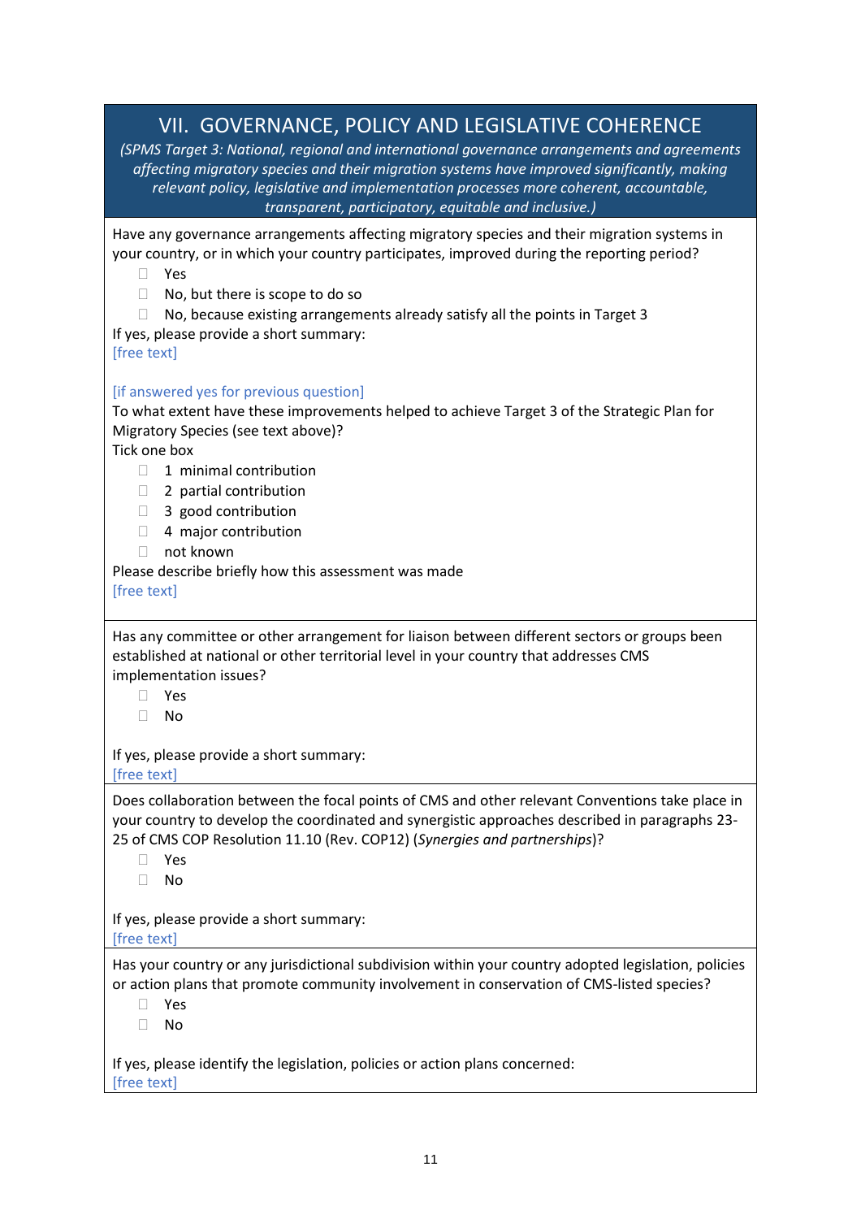<span id="page-10-0"></span>

| VII. GOVERNANCE, POLICY AND LEGISLATIVE COHERENCE<br>(SPMS Target 3: National, regional and international governance arrangements and agreements<br>affecting migratory species and their migration systems have improved significantly, making<br>relevant policy, legislative and implementation processes more coherent, accountable,<br>transparent, participatory, equitable and inclusive.)                       |
|-------------------------------------------------------------------------------------------------------------------------------------------------------------------------------------------------------------------------------------------------------------------------------------------------------------------------------------------------------------------------------------------------------------------------|
| Have any governance arrangements affecting migratory species and their migration systems in<br>your country, or in which your country participates, improved during the reporting period?<br>Yes<br>П<br>No, but there is scope to do so<br>$\Box$<br>No, because existing arrangements already satisfy all the points in Target 3<br>If yes, please provide a short summary:<br>[free text]                            |
| [if answered yes for previous question]<br>To what extent have these improvements helped to achieve Target 3 of the Strategic Plan for<br>Migratory Species (see text above)?<br>Tick one box<br>1 minimal contribution<br>2 partial contribution<br>$\Box$<br>3 good contribution<br>$\Box$<br>4 major contribution<br>$\Box$<br>not known<br>П<br>Please describe briefly how this assessment was made<br>[free text] |
| Has any committee or other arrangement for liaison between different sectors or groups been<br>established at national or other territorial level in your country that addresses CMS<br>implementation issues?<br>Yes<br>No<br>П<br>If yes, please provide a short summary:                                                                                                                                             |
| [free text]<br>Does collaboration between the focal points of CMS and other relevant Conventions take place in<br>your country to develop the coordinated and synergistic approaches described in paragraphs 23-<br>25 of CMS COP Resolution 11.10 (Rev. COP12) (Synergies and partnerships)?<br>Yes<br>$\mathbf{L}$<br>No                                                                                              |
| If yes, please provide a short summary:<br>[free text]<br>Has your country or any jurisdictional subdivision within your country adopted legislation, policies<br>or action plans that promote community involvement in conservation of CMS-listed species?<br>Yes<br>No<br>П                                                                                                                                           |
| If yes, please identify the legislation, policies or action plans concerned:<br>[free text]                                                                                                                                                                                                                                                                                                                             |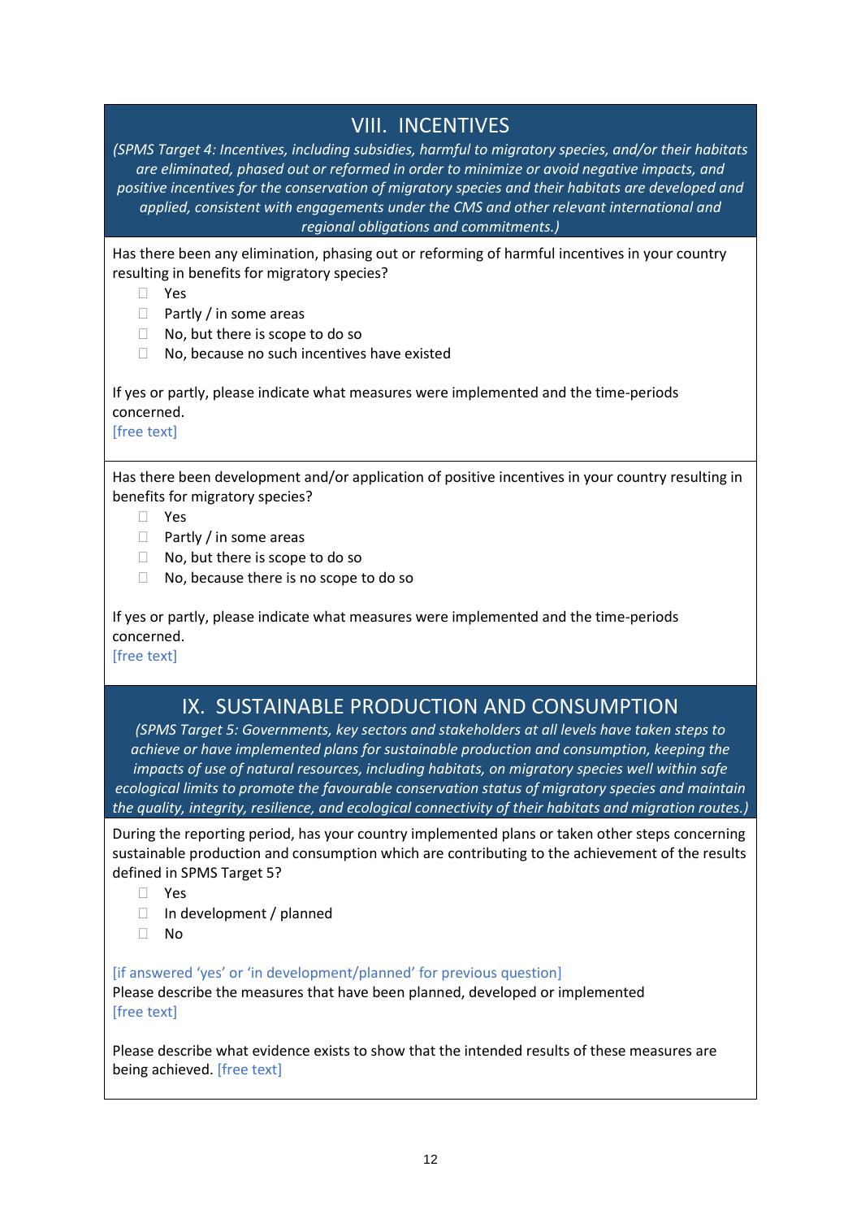### VIII. INCENTIVES

<span id="page-11-0"></span>*(SPMS Target 4: Incentives, including subsidies, harmful to migratory species, and/or their habitats are eliminated, phased out or reformed in order to minimize or avoid negative impacts, and positive incentives for the conservation of migratory species and their habitats are developed and applied, consistent with engagements under the CMS and other relevant international and regional obligations and commitments.)*

Has there been any elimination, phasing out or reforming of harmful incentives in your country resulting in benefits for migratory species?

- Yes
- $\Box$  Partly / in some areas
- $\Box$  No, but there is scope to do so
- $\Box$  No, because no such incentives have existed

If yes or partly, please indicate what measures were implemented and the time-periods concerned.

[free text]

Has there been development and/or application of positive incentives in your country resulting in benefits for migratory species?

- Yes
- $\Box$  Partly / in some areas
- $\Box$  No, but there is scope to do so
- □ No, because there is no scope to do so

If yes or partly, please indicate what measures were implemented and the time-periods concerned.

[free text]

### IX. SUSTAINABLE PRODUCTION AND CONSUMPTION

<span id="page-11-1"></span>*(SPMS Target 5: Governments, key sectors and stakeholders at all levels have taken steps to achieve or have implemented plans for sustainable production and consumption, keeping the impacts of use of natural resources, including habitats, on migratory species well within safe ecological limits to promote the favourable conservation status of migratory species and maintain the quality, integrity, resilience, and ecological connectivity of their habitats and migration routes.)*

During the reporting period, has your country implemented plans or taken other steps concerning sustainable production and consumption which are contributing to the achievement of the results defined in SPMS Target 5?

- Yes
- $\Box$  In development / planned
- No

[if answered 'yes' or 'in development/planned' for previous question]

Please describe the measures that have been planned, developed or implemented [free text]

Please describe what evidence exists to show that the intended results of these measures are being achieved. [free text]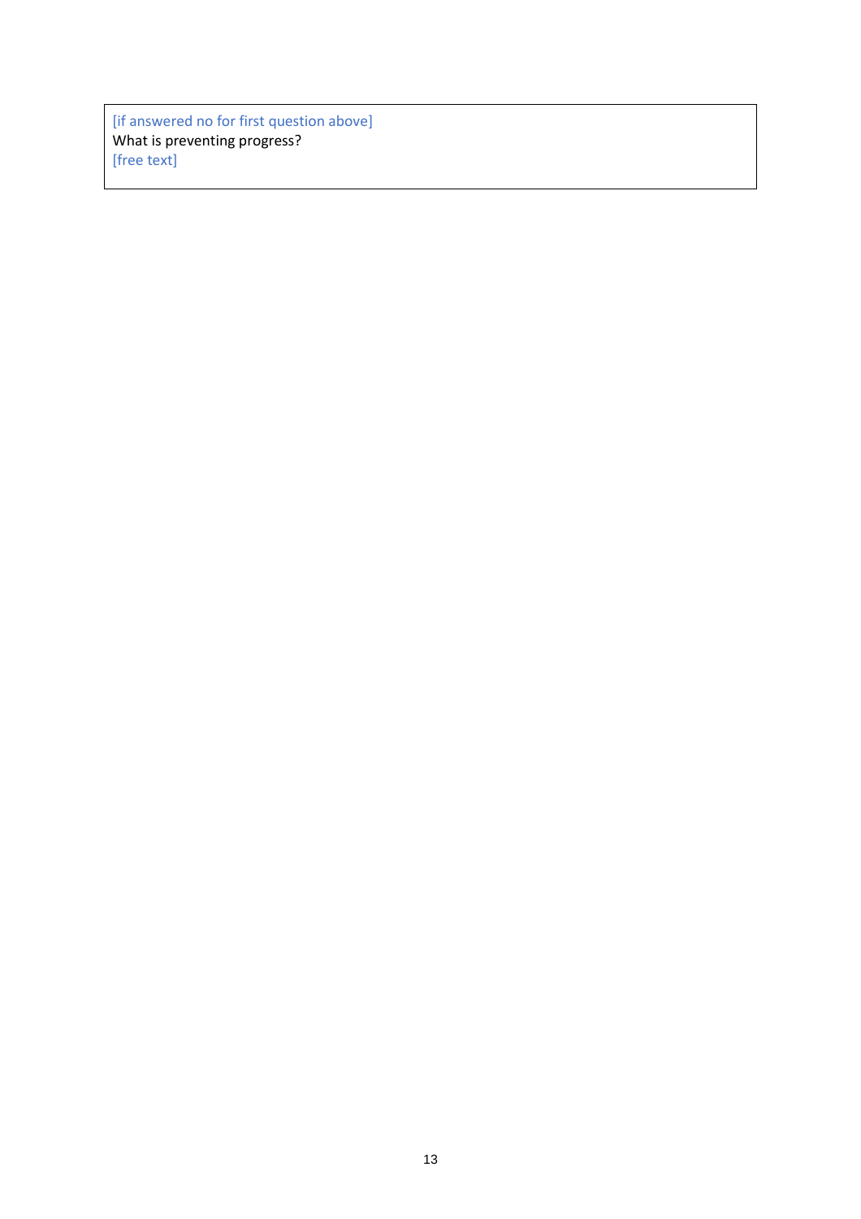[if answered no for first question above] What is preventing progress? [free text]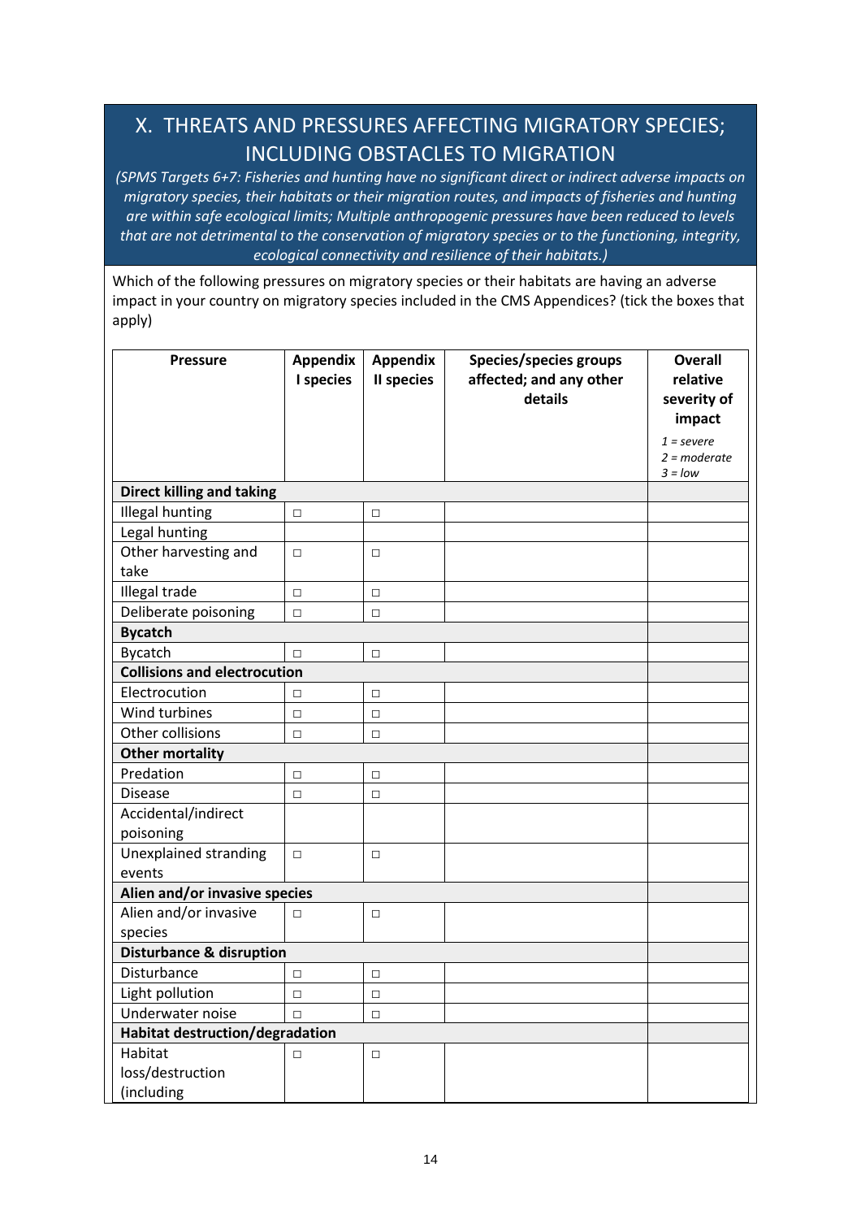# <span id="page-13-0"></span>X. THREATS AND PRESSURES AFFECTING MIGRATORY SPECIES; INCLUDING OBSTACLES TO MIGRATION

*(SPMS Targets 6+7: Fisheries and hunting have no significant direct or indirect adverse impacts on migratory species, their habitats or their migration routes, and impacts of fisheries and hunting are within safe ecological limits; Multiple anthropogenic pressures have been reduced to levels that are not detrimental to the conservation of migratory species or to the functioning, integrity, ecological connectivity and resilience of their habitats.)*

Which of the following pressures on migratory species or their habitats are having an adverse impact in your country on migratory species included in the CMS Appendices? (tick the boxes that apply)

| <b>Pressure</b>                           | <b>Appendix</b><br>I species | <b>Appendix</b><br>II species | <b>Species/species groups</b><br>affected; and any other<br>details | <b>Overall</b><br>relative<br>severity of<br>impact |
|-------------------------------------------|------------------------------|-------------------------------|---------------------------------------------------------------------|-----------------------------------------------------|
|                                           |                              |                               |                                                                     | $1 = severe$<br>$2 = moderate$<br>$3 =$ low         |
| <b>Direct killing and taking</b>          |                              |                               |                                                                     |                                                     |
| <b>Illegal hunting</b>                    | $\Box$                       | $\Box$                        |                                                                     |                                                     |
| Legal hunting                             |                              |                               |                                                                     |                                                     |
| Other harvesting and<br>take              | $\Box$                       | $\Box$                        |                                                                     |                                                     |
| Illegal trade                             | $\Box$                       | $\Box$                        |                                                                     |                                                     |
| Deliberate poisoning                      | $\Box$                       | $\Box$                        |                                                                     |                                                     |
| <b>Bycatch</b>                            |                              |                               |                                                                     |                                                     |
| <b>Bycatch</b>                            | $\Box$                       | $\Box$                        |                                                                     |                                                     |
| <b>Collisions and electrocution</b>       |                              |                               |                                                                     |                                                     |
| Electrocution                             | $\Box$                       | $\Box$                        |                                                                     |                                                     |
| Wind turbines                             | $\Box$                       | $\Box$                        |                                                                     |                                                     |
| Other collisions                          | $\Box$                       | $\Box$                        |                                                                     |                                                     |
| <b>Other mortality</b>                    |                              |                               |                                                                     |                                                     |
| Predation                                 | $\Box$                       | $\Box$                        |                                                                     |                                                     |
| <b>Disease</b>                            | $\Box$                       | $\Box$                        |                                                                     |                                                     |
| Accidental/indirect<br>poisoning          |                              |                               |                                                                     |                                                     |
| Unexplained stranding<br>events           | $\Box$                       | $\Box$                        |                                                                     |                                                     |
| Alien and/or invasive species             |                              |                               |                                                                     |                                                     |
| Alien and/or invasive<br>species          | $\Box$                       | $\Box$                        |                                                                     |                                                     |
| <b>Disturbance &amp; disruption</b>       |                              |                               |                                                                     |                                                     |
| Disturbance                               | $\Box$                       | $\Box$                        |                                                                     |                                                     |
| Light pollution                           | $\Box$                       | $\Box$                        |                                                                     |                                                     |
| Underwater noise                          | $\Box$                       | $\Box$                        |                                                                     |                                                     |
| Habitat destruction/degradation           |                              |                               |                                                                     |                                                     |
| Habitat<br>loss/destruction<br>(including | □                            | $\Box$                        |                                                                     |                                                     |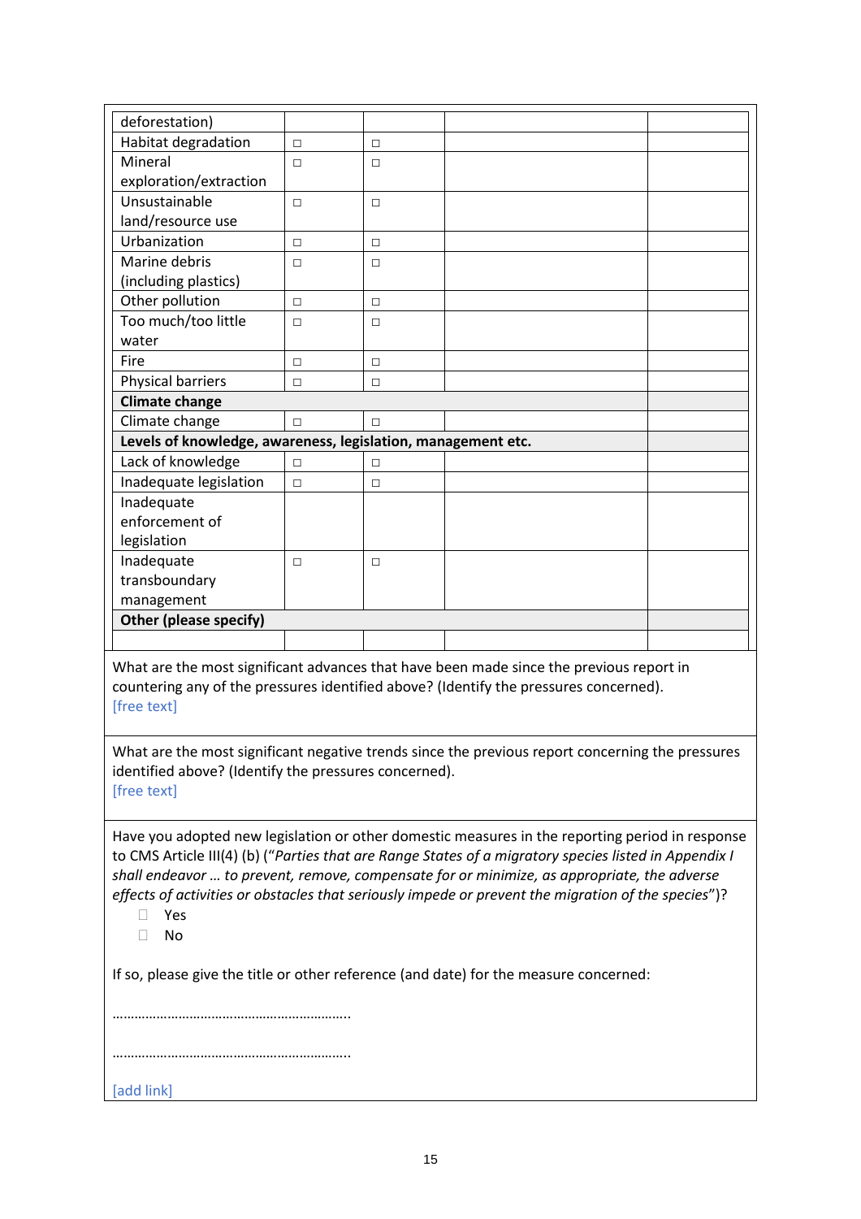| deforestation)                                               |        |        |  |
|--------------------------------------------------------------|--------|--------|--|
| Habitat degradation                                          | $\Box$ | $\Box$ |  |
| Mineral                                                      | $\Box$ | □      |  |
| exploration/extraction                                       |        |        |  |
| Unsustainable                                                | $\Box$ | П      |  |
| land/resource use                                            |        |        |  |
| Urbanization                                                 | $\Box$ | П      |  |
| Marine debris                                                | $\Box$ | □      |  |
| (including plastics)                                         |        |        |  |
| Other pollution                                              | $\Box$ | $\Box$ |  |
| Too much/too little                                          | $\Box$ | $\Box$ |  |
| water                                                        |        |        |  |
| Fire                                                         | $\Box$ | П      |  |
| Physical barriers                                            | П      | п      |  |
| <b>Climate change</b>                                        |        |        |  |
| Climate change                                               | $\Box$ | $\Box$ |  |
| Levels of knowledge, awareness, legislation, management etc. |        |        |  |
| Lack of knowledge                                            | $\Box$ | п      |  |
| Inadequate legislation                                       | $\Box$ | $\Box$ |  |
| Inadequate                                                   |        |        |  |
| enforcement of                                               |        |        |  |
| legislation                                                  |        |        |  |
| Inadequate                                                   | □      | П      |  |
| transboundary                                                |        |        |  |
| management                                                   |        |        |  |
| Other (please specify)                                       |        |        |  |
|                                                              |        |        |  |

What are the most significant advances that have been made since the previous report in countering any of the pressures identified above? (Identify the pressures concerned). [free text]

What are the most significant negative trends since the previous report concerning the pressures identified above? (Identify the pressures concerned). [free text]

Have you adopted new legislation or other domestic measures in the reporting period in response to CMS Article III(4) (b) ("*Parties that are Range States of a migratory species listed in Appendix I shall endeavor … to prevent, remove, compensate for or minimize, as appropriate, the adverse effects of activities or obstacles that seriously impede or prevent the migration of the species*")?

- Yes
- No

If so, please give the title or other reference (and date) for the measure concerned:

……………………………………………

………………………………………………………..

[add link]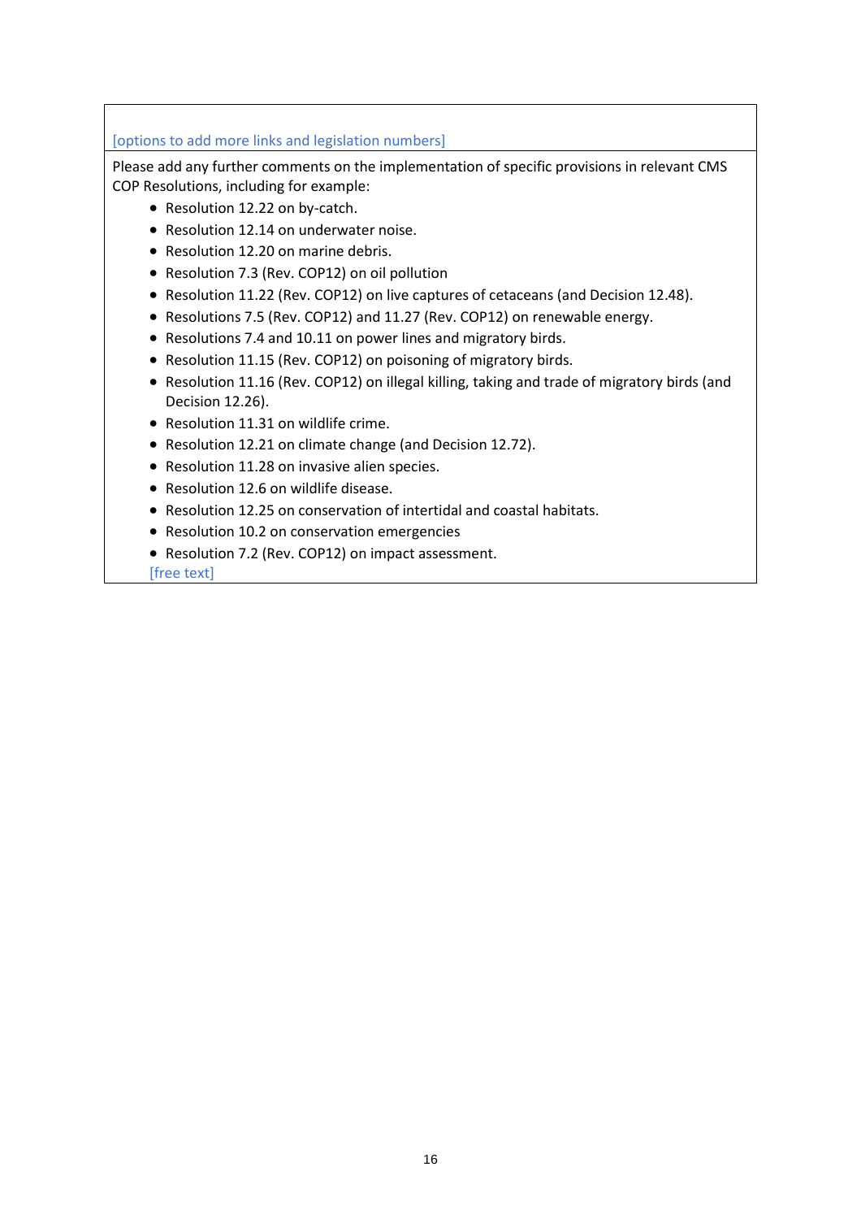### [options to add more links and legislation numbers]

Please add any further comments on the implementation of specific provisions in relevant CMS COP Resolutions, including for example:

- Resolution 12.22 on by-catch.
- Resolution 12.14 on underwater noise.
- Resolution 12.20 on marine debris.
- Resolution 7.3 (Rev. COP12) on oil pollution
- Resolution 11.22 (Rev. COP12) on live captures of cetaceans (and Decision 12.48).
- Resolutions 7.5 (Rev. COP12) and 11.27 (Rev. COP12) on renewable energy.
- Resolutions 7.4 and 10.11 on power lines and migratory birds.
- Resolution 11.15 (Rev. COP12) on poisoning of migratory birds.
- Resolution 11.16 (Rev. COP12) on illegal killing, taking and trade of migratory birds (and Decision 12.26).
- Resolution 11.31 on wildlife crime.
- Resolution 12.21 on climate change (and Decision 12.72).
- Resolution 11.28 on invasive alien species.
- Resolution 12.6 on wildlife disease.
- Resolution 12.25 on conservation of intertidal and coastal habitats.
- Resolution 10.2 on conservation emergencies
- Resolution 7.2 (Rev. COP12) on impact assessment.

[free text]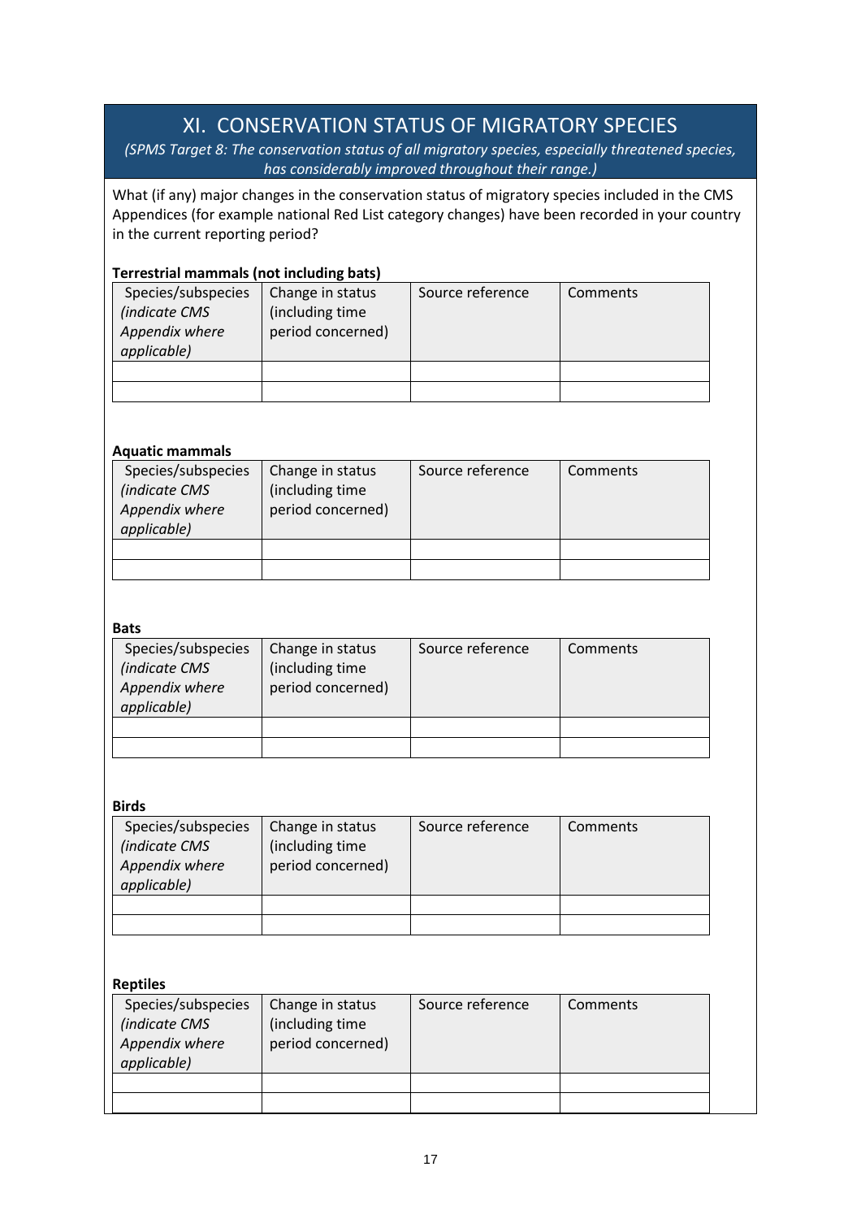# XI. CONSERVATION STATUS OF MIGRATORY SPECIES

<span id="page-16-0"></span>*(SPMS Target 8: The conservation status of all migratory species, especially threatened species, has considerably improved throughout their range.)*

What (if any) major changes in the conservation status of migratory species included in the CMS Appendices (for example national Red List category changes) have been recorded in your country in the current reporting period?

### **Terrestrial mammals (not including bats)**

| Species/subspecies<br>(indicate CMS<br>Appendix where<br>applicable) | Change in status<br>(including time<br>period concerned) | Source reference | Comments |
|----------------------------------------------------------------------|----------------------------------------------------------|------------------|----------|
|                                                                      |                                                          |                  |          |
|                                                                      |                                                          |                  |          |

### **Aquatic mammals**

| Species/subspecies<br>(indicate CMS<br>Appendix where<br>applicable) | Change in status<br>(including time<br>period concerned) | Source reference | Comments |
|----------------------------------------------------------------------|----------------------------------------------------------|------------------|----------|
|                                                                      |                                                          |                  |          |
|                                                                      |                                                          |                  |          |

### **Bats**

| Species/subspecies<br>(indicate CMS<br>Appendix where<br>applicable) | Change in status<br>(including time)<br>period concerned) | Source reference | Comments |
|----------------------------------------------------------------------|-----------------------------------------------------------|------------------|----------|
|                                                                      |                                                           |                  |          |
|                                                                      |                                                           |                  |          |

### **Birds**

| Species/subspecies<br>(indicate CMS<br>Appendix where<br>applicable) | Change in status<br>(including time<br>period concerned) | Source reference | Comments |
|----------------------------------------------------------------------|----------------------------------------------------------|------------------|----------|
|                                                                      |                                                          |                  |          |
|                                                                      |                                                          |                  |          |

### **Reptiles**

| Species/subspecies<br>(indicate CMS<br>Appendix where<br>applicable) | Change in status<br>(including time<br>period concerned) | Source reference | Comments |
|----------------------------------------------------------------------|----------------------------------------------------------|------------------|----------|
|                                                                      |                                                          |                  |          |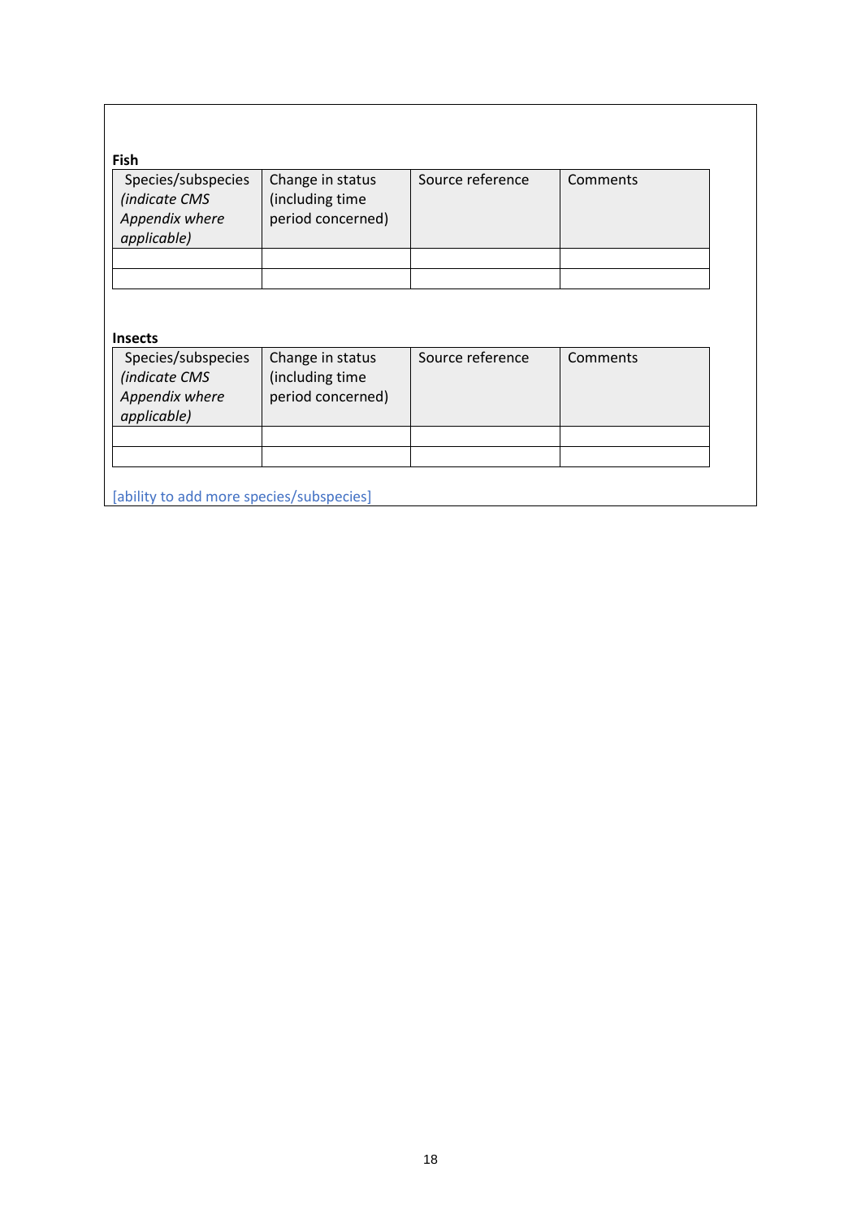| <b>Fish</b>                                                          |                                                          |                  |          |
|----------------------------------------------------------------------|----------------------------------------------------------|------------------|----------|
| Species/subspecies<br>(indicate CMS<br>Appendix where<br>applicable) | Change in status<br>(including time<br>period concerned) | Source reference | Comments |
|                                                                      |                                                          |                  |          |

### **Insects**

| Species/subspecies<br>(indicate CMS<br>Appendix where<br>applicable) | Change in status<br>(including time<br>period concerned) | Source reference | Comments |
|----------------------------------------------------------------------|----------------------------------------------------------|------------------|----------|
|                                                                      |                                                          |                  |          |

[ability to add more species/subspecies]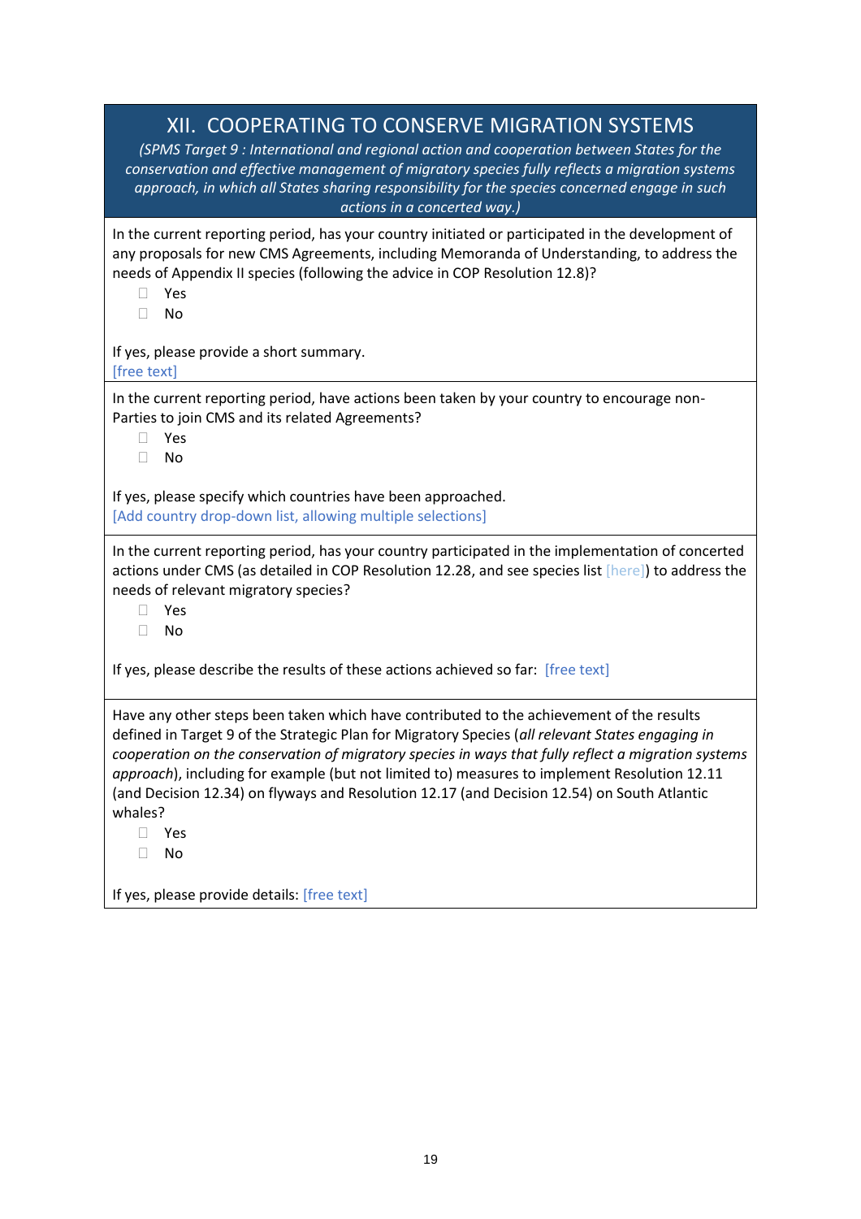### XII. COOPERATING TO CONSERVE MIGRATION SYSTEMS

<span id="page-18-0"></span>*(SPMS Target 9 : International and regional action and cooperation between States for the conservation and effective management of migratory species fully reflects a migration systems approach, in which all States sharing responsibility for the species concerned engage in such actions in a concerted way.)*

In the current reporting period, has your country initiated or participated in the development of any proposals for new CMS Agreements, including Memoranda of Understanding, to address the needs of Appendix II species (following the advice in COP Resolution 12.8)?

- Yes
- $\Box$  No

If yes, please provide a short summary. [free text]

In the current reporting period, have actions been taken by your country to encourage non-Parties to join CMS and its related Agreements?

- Yes
- No

If yes, please specify which countries have been approached. [Add country drop-down list, allowing multiple selections]

In the current reporting period, has your country participated in the implementation of concerted actions under CMS (as detailed in COP Resolution 12.28, and see species list [here]) to address the needs of relevant migratory species?

Yes

No

If yes, please describe the results of these actions achieved so far: [free text]

Have any other steps been taken which have contributed to the achievement of the results defined in Target 9 of the Strategic Plan for Migratory Species (*all relevant States engaging in cooperation on the conservation of migratory species in ways that fully reflect a migration systems approach*), including for example (but not limited to) measures to implement Resolution 12.11 (and Decision 12.34) on flyways and Resolution 12.17 (and Decision 12.54) on South Atlantic whales?

Yes

 $\Box$  No

If yes, please provide details: [free text]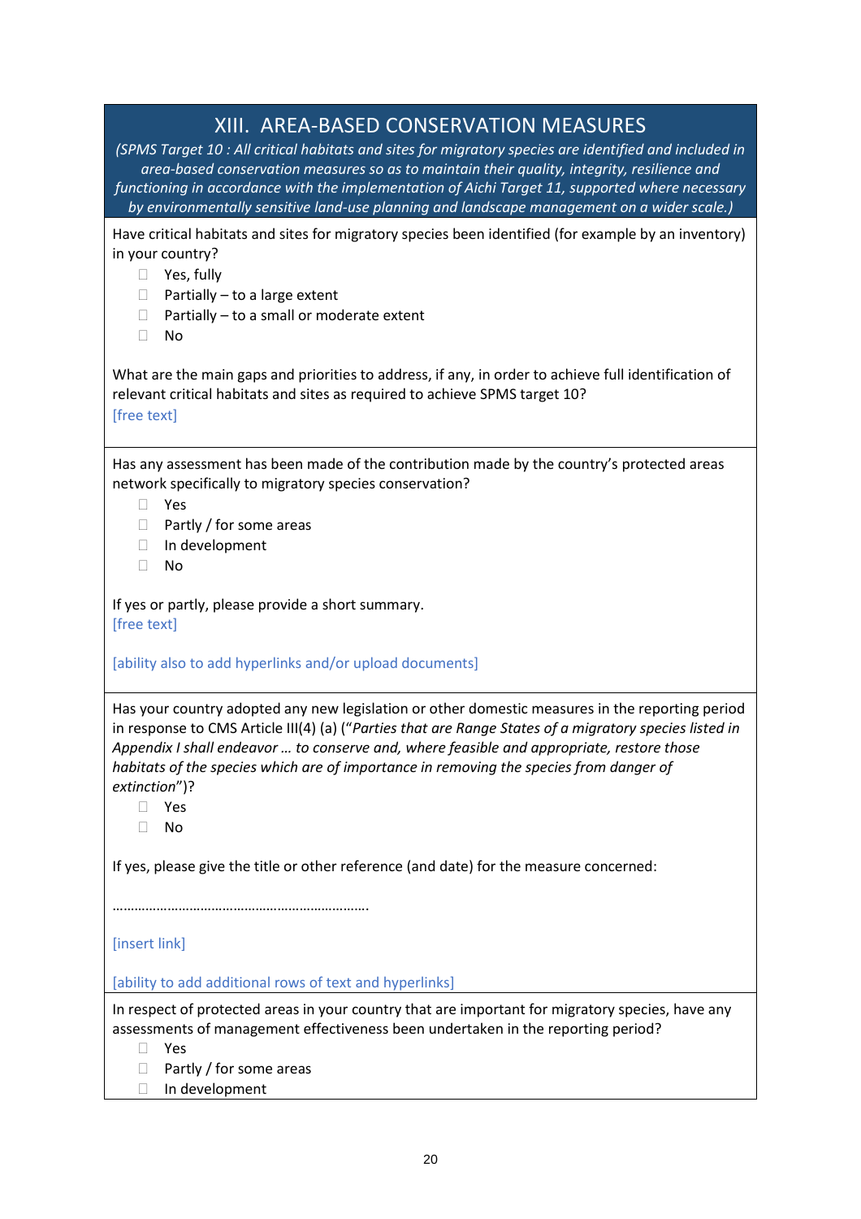### XIII. AREA-BASED CONSERVATION MEASURES

<span id="page-19-0"></span>*(SPMS Target 10 : All critical habitats and sites for migratory species are identified and included in area-based conservation measures so as to maintain their quality, integrity, resilience and functioning in accordance with the implementation of Aichi Target 11, supported where necessary by environmentally sensitive land-use planning and landscape management on a wider scale.)*

Have critical habitats and sites for migratory species been identified (for example by an inventory) in your country?

- □ Yes, fully
- $\Box$  Partially to a large extent
- $\Box$  Partially to a small or moderate extent
- $\Box$  No

What are the main gaps and priorities to address, if any, in order to achieve full identification of relevant critical habitats and sites as required to achieve SPMS target 10? [free text]

Has any assessment has been made of the contribution made by the country's protected areas network specifically to migratory species conservation?

- Yes
- $\Box$  Partly / for some areas
- In development
- $\Box$  No

If yes or partly, please provide a short summary. [free text]

[ability also to add hyperlinks and/or upload documents]

Has your country adopted any new legislation or other domestic measures in the reporting period in response to CMS Article III(4) (a) ("*Parties that are Range States of a migratory species listed in Appendix I shall endeavor … to conserve and, where feasible and appropriate, restore those habitats of the species which are of importance in removing the species from danger of extinction*")?

Yes

No

If yes, please give the title or other reference (and date) for the measure concerned:

…………………………………………………………….

[insert link]

[ability to add additional rows of text and hyperlinks]

In respect of protected areas in your country that are important for migratory species, have any assessments of management effectiveness been undertaken in the reporting period?

Yes

- $\Box$  Partly / for some areas
- □ In development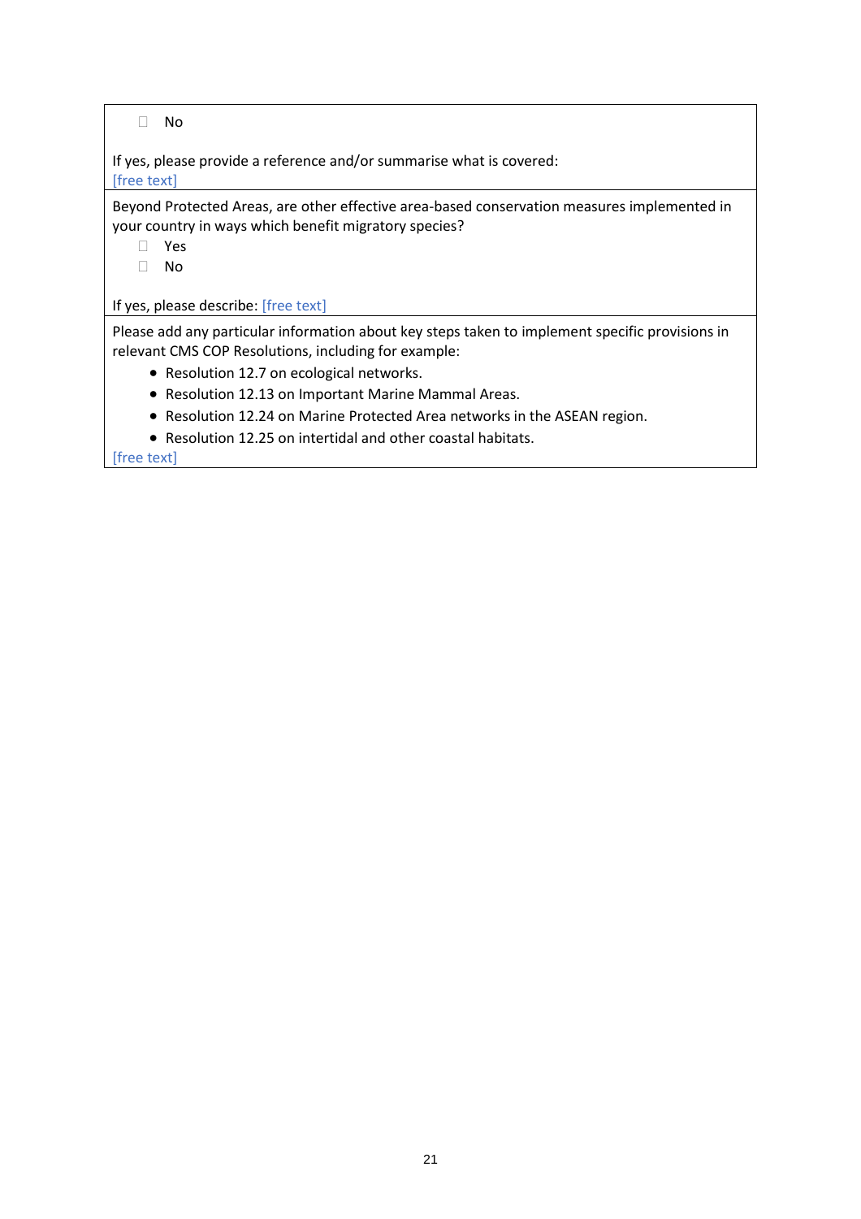No

If yes, please provide a reference and/or summarise what is covered: [free text]

Beyond Protected Areas, are other effective area-based conservation measures implemented in your country in ways which benefit migratory species?

- Yes
- No

If yes, please describe: [free text]

Please add any particular information about key steps taken to implement specific provisions in relevant CMS COP Resolutions, including for example:

- Resolution 12.7 on ecological networks.
- Resolution 12.13 on Important Marine Mammal Areas.
- Resolution 12.24 on Marine Protected Area networks in the ASEAN region.
- Resolution 12.25 on intertidal and other coastal habitats.

[free text]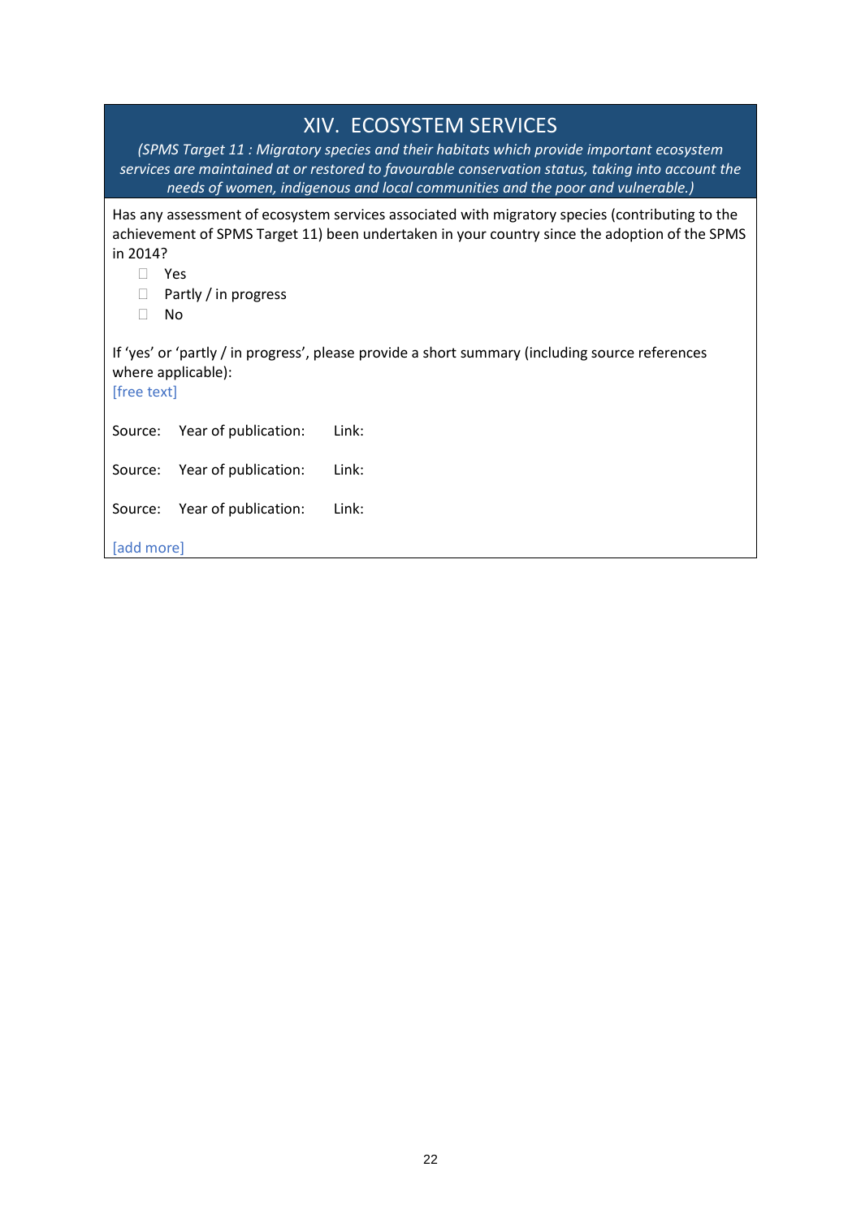<span id="page-21-0"></span>

|                                         | <b>XIV. ECOSYSTEM SERVICES</b><br>(SPMS Target 11: Migratory species and their habitats which provide important ecosystem<br>services are maintained at or restored to favourable conservation status, taking into account the<br>needs of women, indigenous and local communities and the poor and vulnerable.) |
|-----------------------------------------|------------------------------------------------------------------------------------------------------------------------------------------------------------------------------------------------------------------------------------------------------------------------------------------------------------------|
| in 2014?<br>Yes<br>Partly / in progress | Has any assessment of ecosystem services associated with migratory species (contributing to the<br>achievement of SPMS Target 11) been undertaken in your country since the adoption of the SPMS                                                                                                                 |
| No<br>where applicable):<br>[free text] | If 'yes' or 'partly / in progress', please provide a short summary (including source references                                                                                                                                                                                                                  |
| Source:<br>Year of publication:         | Link:                                                                                                                                                                                                                                                                                                            |
| Year of publication:<br>Source:         | Link:                                                                                                                                                                                                                                                                                                            |
| Year of publication:<br>Source:         | Link:                                                                                                                                                                                                                                                                                                            |
| [add more]                              |                                                                                                                                                                                                                                                                                                                  |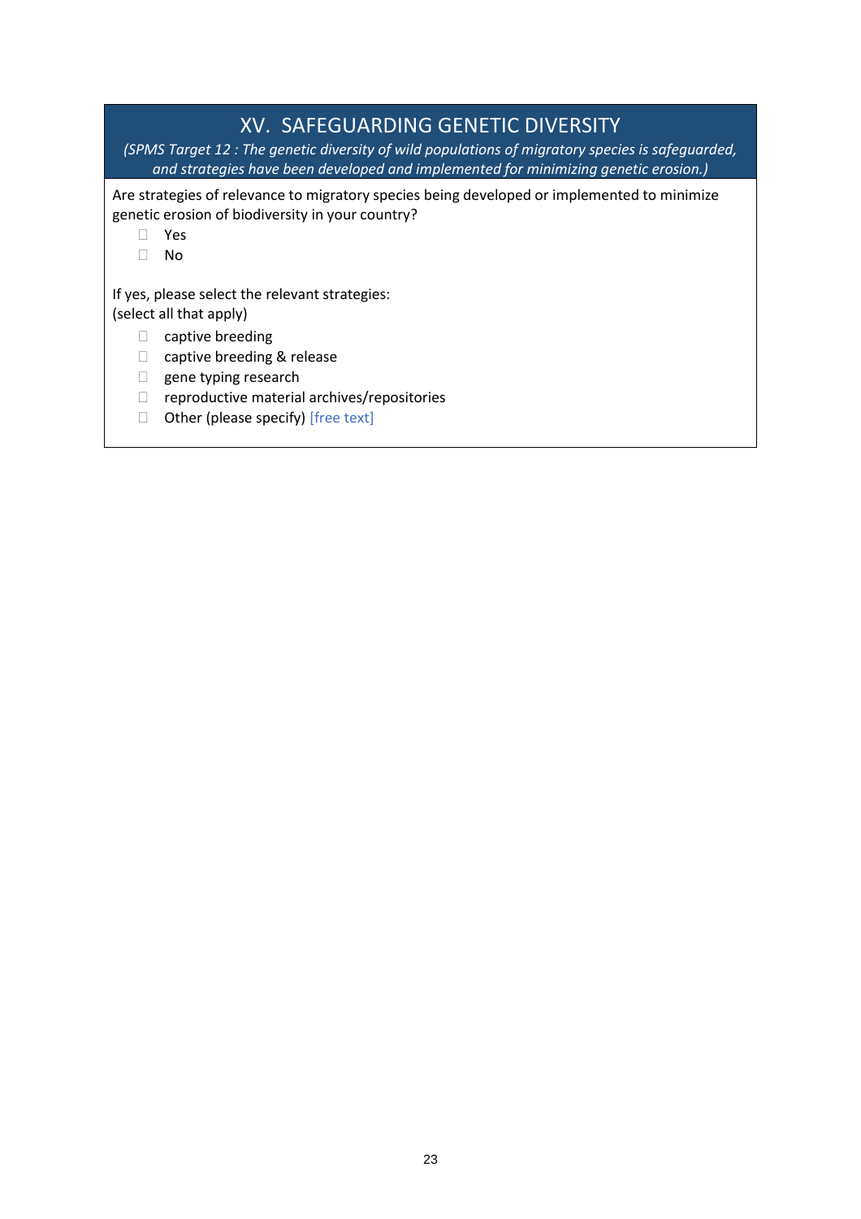### XV. SAFEGUARDING GENETIC DIVERSITY

<span id="page-22-0"></span>*(SPMS Target 12 : The genetic diversity of wild populations of migratory species is safeguarded, and strategies have been developed and implemented for minimizing genetic erosion.)*

Are strategies of relevance to migratory species being developed or implemented to minimize genetic erosion of biodiversity in your country?

- Yes
- No

If yes, please select the relevant strategies: (select all that apply)

- $\Box$  captive breeding
- □ captive breeding & release
- $\Box$  gene typing research
- $\Box$  reproductive material archives/repositories
- $\Box$  Other (please specify) [free text]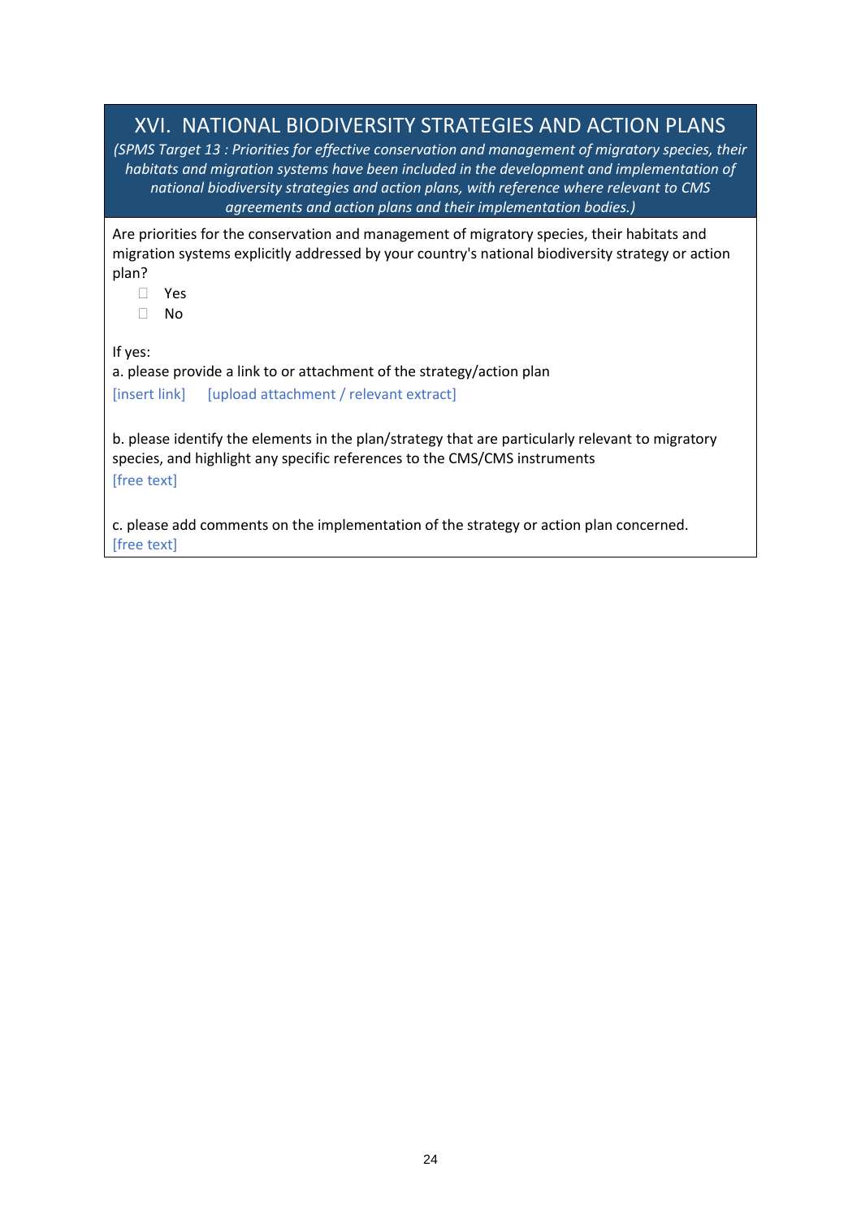### <span id="page-23-0"></span>XVI. NATIONAL BIODIVERSITY STRATEGIES AND ACTION PLANS

*(SPMS Target 13 : Priorities for effective conservation and management of migratory species, their habitats and migration systems have been included in the development and implementation of national biodiversity strategies and action plans, with reference where relevant to CMS agreements and action plans and their implementation bodies.)*

Are priorities for the conservation and management of migratory species, their habitats and migration systems explicitly addressed by your country's national biodiversity strategy or action plan?

- Yes
- No

If yes:

a. please provide a link to or attachment of the strategy/action plan [insert link] [upload attachment / relevant extract]

b. please identify the elements in the plan/strategy that are particularly relevant to migratory species, and highlight any specific references to the CMS/CMS instruments [free text]

c. please add comments on the implementation of the strategy or action plan concerned. [free text]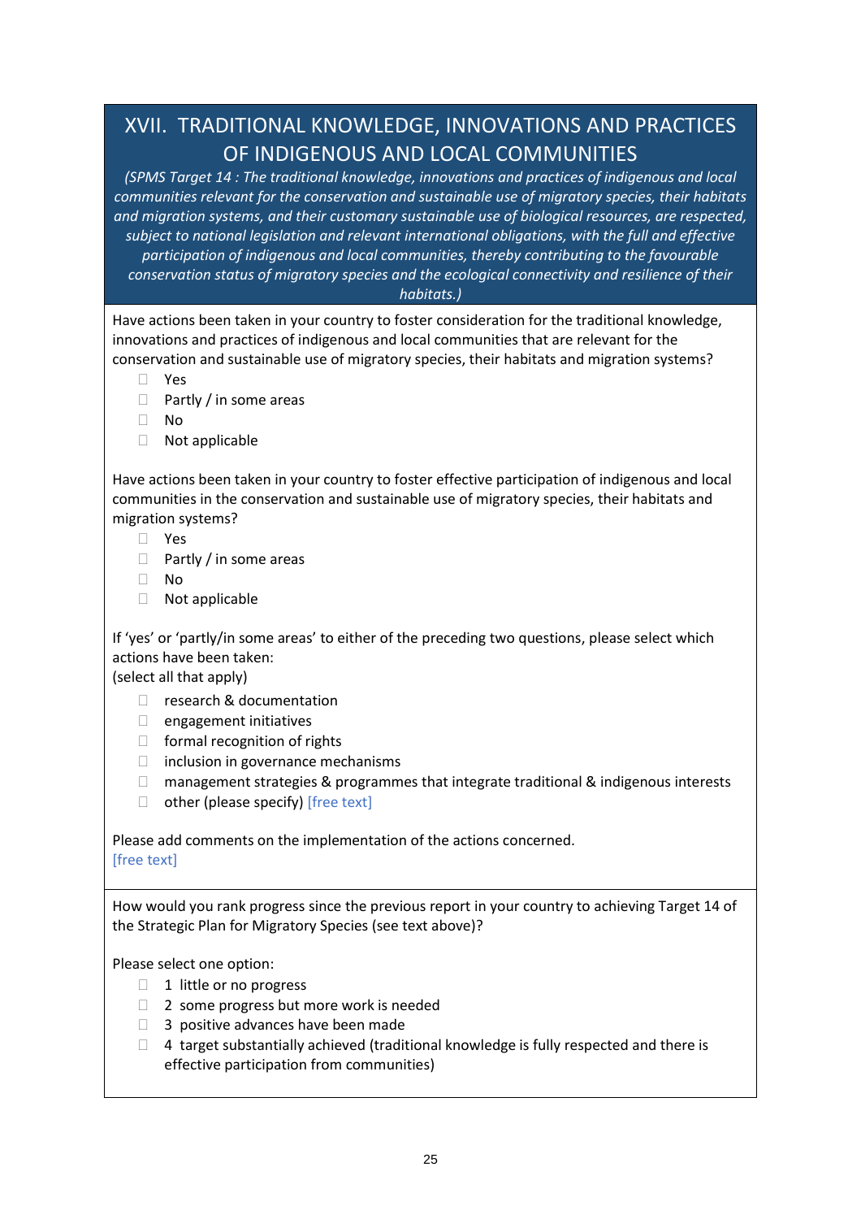# <span id="page-24-0"></span>XVII. TRADITIONAL KNOWLEDGE, INNOVATIONS AND PRACTICES OF INDIGENOUS AND LOCAL COMMUNITIES

*(SPMS Target 14 : The traditional knowledge, innovations and practices of indigenous and local communities relevant for the conservation and sustainable use of migratory species, their habitats and migration systems, and their customary sustainable use of biological resources, are respected, subject to national legislation and relevant international obligations, with the full and effective participation of indigenous and local communities, thereby contributing to the favourable conservation status of migratory species and the ecological connectivity and resilience of their habitats.)*

Have actions been taken in your country to foster consideration for the traditional knowledge, innovations and practices of indigenous and local communities that are relevant for the conservation and sustainable use of migratory species, their habitats and migration systems?

- Yes
- $\Box$  Partly / in some areas
- No
- Not applicable

Have actions been taken in your country to foster effective participation of indigenous and local communities in the conservation and sustainable use of migratory species, their habitats and migration systems?

- Yes
- $\Box$  Partly / in some areas
- No
- Not applicable

If 'yes' or 'partly/in some areas' to either of the preceding two questions, please select which actions have been taken:

(select all that apply)

- □ research & documentation
- $\Box$  engagement initiatives
- $\Box$  formal recognition of rights
- $\Box$  inclusion in governance mechanisms
- $\Box$  management strategies & programmes that integrate traditional & indigenous interests
- $\Box$  other (please specify) [free text]

Please add comments on the implementation of the actions concerned. [free text]

How would you rank progress since the previous report in your country to achieving Target 14 of the Strategic Plan for Migratory Species (see text above)?

Please select one option:

- □ 1 little or no progress
- □ 2 some progress but more work is needed
- $\Box$  3 positive advances have been made
- $\Box$  4 target substantially achieved (traditional knowledge is fully respected and there is effective participation from communities)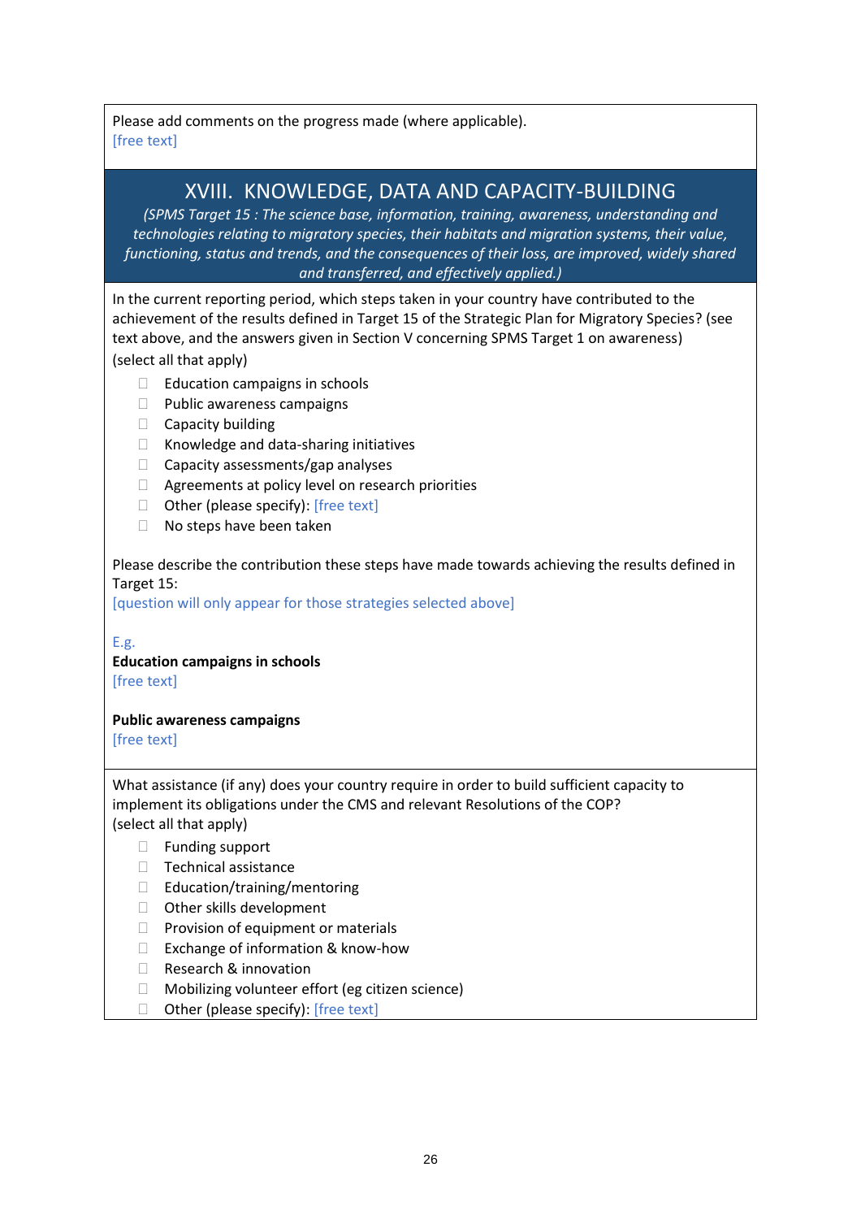Please add comments on the progress made (where applicable). [free text]

### XVIII. KNOWLEDGE, DATA AND CAPACITY-BUILDING

<span id="page-25-0"></span>*(SPMS Target 15 : The science base, information, training, awareness, understanding and technologies relating to migratory species, their habitats and migration systems, their value, functioning, status and trends, and the consequences of their loss, are improved, widely shared and transferred, and effectively applied.)*

In the current reporting period, which steps taken in your country have contributed to the achievement of the results defined in Target 15 of the Strategic Plan for Migratory Species? (see text above, and the answers given in Section V concerning SPMS Target 1 on awareness)

(select all that apply)

- $\Box$  Education campaigns in schools
- D Public awareness campaigns
- $\Box$  Capacity building
- □ Knowledge and data-sharing initiatives
- $\Box$  Capacity assessments/gap analyses
- $\Box$  Agreements at policy level on research priorities
- $\Box$  Other (please specify): [free text]
- □ No steps have been taken

Please describe the contribution these steps have made towards achieving the results defined in Target 15:

[question will only appear for those strategies selected above]

E.g. **Education campaigns in schools**

[free text]

**Public awareness campaigns**

[free text]

What assistance (if any) does your country require in order to build sufficient capacity to implement its obligations under the CMS and relevant Resolutions of the COP? (select all that apply)

- □ Funding support
- □ Technical assistance
- □ Education/training/mentoring
- □ Other skills development
- $\Box$  Provision of equipment or materials
- $\Box$  Exchange of information & know-how
- □ Research & innovation
- □ Mobilizing volunteer effort (eg citizen science)
- $\Box$  Other (please specify): [free text]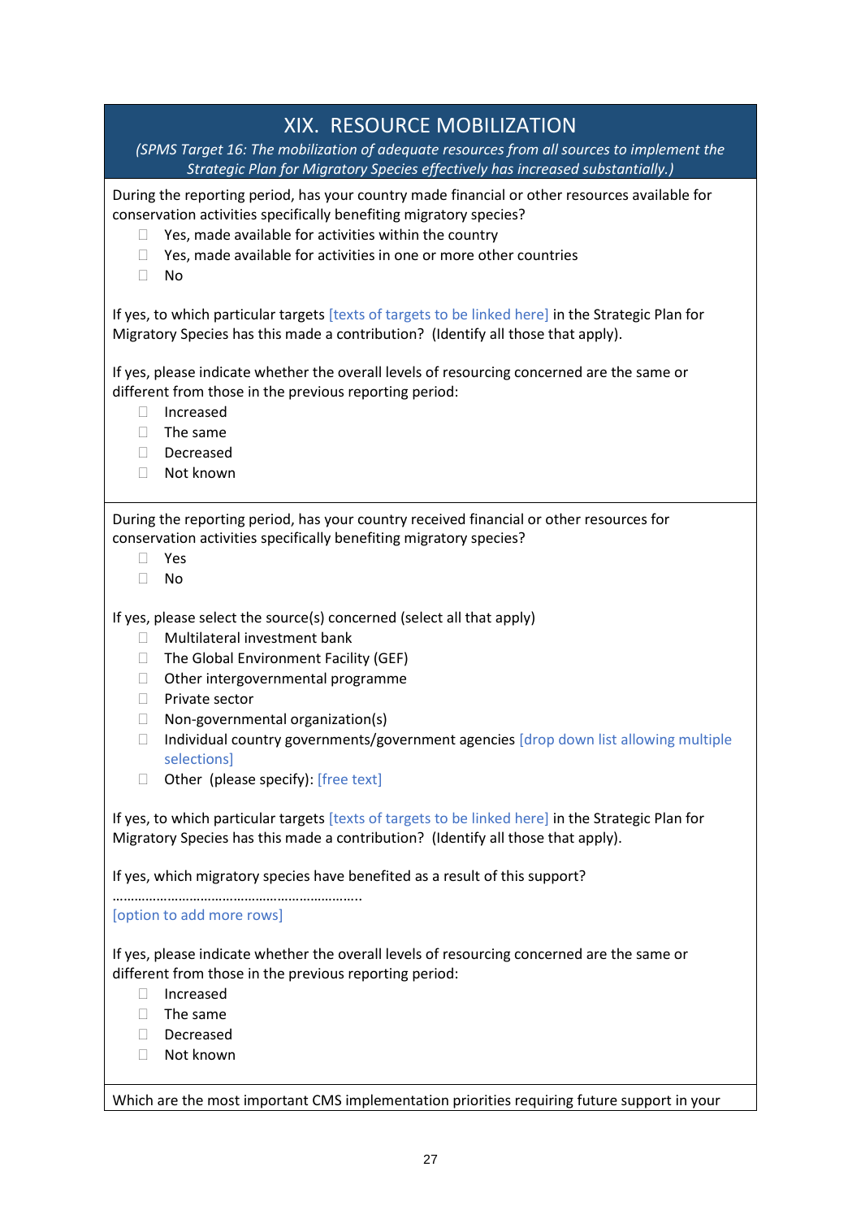### XIX. RESOURCE MOBILIZATION

<span id="page-26-0"></span>*(SPMS Target 16: The mobilization of adequate resources from all sources to implement the Strategic Plan for Migratory Species effectively has increased substantially.)*

During the reporting period, has your country made financial or other resources available for conservation activities specifically benefiting migratory species?

- $\Box$  Yes, made available for activities within the country
- $\Box$  Yes, made available for activities in one or more other countries
- $\Box$  No

If yes, to which particular targets [texts of targets to be linked here] in the Strategic Plan for Migratory Species has this made a contribution? (Identify all those that apply).

If yes, please indicate whether the overall levels of resourcing concerned are the same or different from those in the previous reporting period:

- Increased
- $\Box$  The same
- Decreased
- Not known

During the reporting period, has your country received financial or other resources for conservation activities specifically benefiting migratory species?

- Yes
- No

If yes, please select the source(s) concerned (select all that apply)

- □ Multilateral investment bank
- $\Box$  The Global Environment Facility (GEF)
- $\Box$  Other intergovernmental programme
- □ Private sector
- $\Box$  Non-governmental organization(s)
- $\Box$  Individual country governments/government agencies [drop down list allowing multiple selections]
- Other (please specify): [free text]

If yes, to which particular targets [texts of targets to be linked here] in the Strategic Plan for Migratory Species has this made a contribution? (Identify all those that apply).

If yes, which migratory species have benefited as a result of this support?

………………………………………………………….. [option to add more rows]

If yes, please indicate whether the overall levels of resourcing concerned are the same or different from those in the previous reporting period:

- Increased
- $\Box$  The same
- Decreased
- □ Not known

Which are the most important CMS implementation priorities requiring future support in your